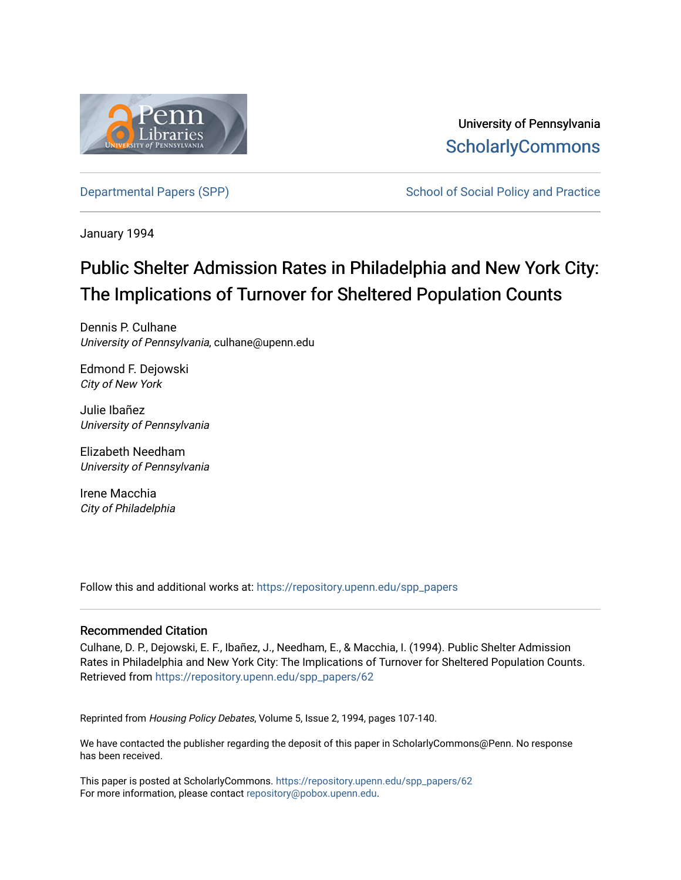

University of Pennsylvania **ScholarlyCommons** 

[Departmental Papers \(SPP\)](https://repository.upenn.edu/spp_papers) School of Social Policy and Practice

January 1994

# Public Shelter Admission Rates in Philadelphia and New York City: The Implications of Turnover for Sheltered Population Counts

Dennis P. Culhane University of Pennsylvania, culhane@upenn.edu

Edmond F. Dejowski City of New York

Julie Ibañez University of Pennsylvania

Elizabeth Needham University of Pennsylvania

Irene Macchia City of Philadelphia

Follow this and additional works at: [https://repository.upenn.edu/spp\\_papers](https://repository.upenn.edu/spp_papers?utm_source=repository.upenn.edu%2Fspp_papers%2F62&utm_medium=PDF&utm_campaign=PDFCoverPages) 

## Recommended Citation

Culhane, D. P., Dejowski, E. F., Ibañez, J., Needham, E., & Macchia, I. (1994). Public Shelter Admission Rates in Philadelphia and New York City: The Implications of Turnover for Sheltered Population Counts. Retrieved from [https://repository.upenn.edu/spp\\_papers/62](https://repository.upenn.edu/spp_papers/62?utm_source=repository.upenn.edu%2Fspp_papers%2F62&utm_medium=PDF&utm_campaign=PDFCoverPages)

Reprinted from Housing Policy Debates, Volume 5, Issue 2, 1994, pages 107-140.

We have contacted the publisher regarding the deposit of this paper in ScholarlyCommons@Penn. No response has been received.

This paper is posted at ScholarlyCommons. [https://repository.upenn.edu/spp\\_papers/62](https://repository.upenn.edu/spp_papers/62)  For more information, please contact [repository@pobox.upenn.edu.](mailto:repository@pobox.upenn.edu)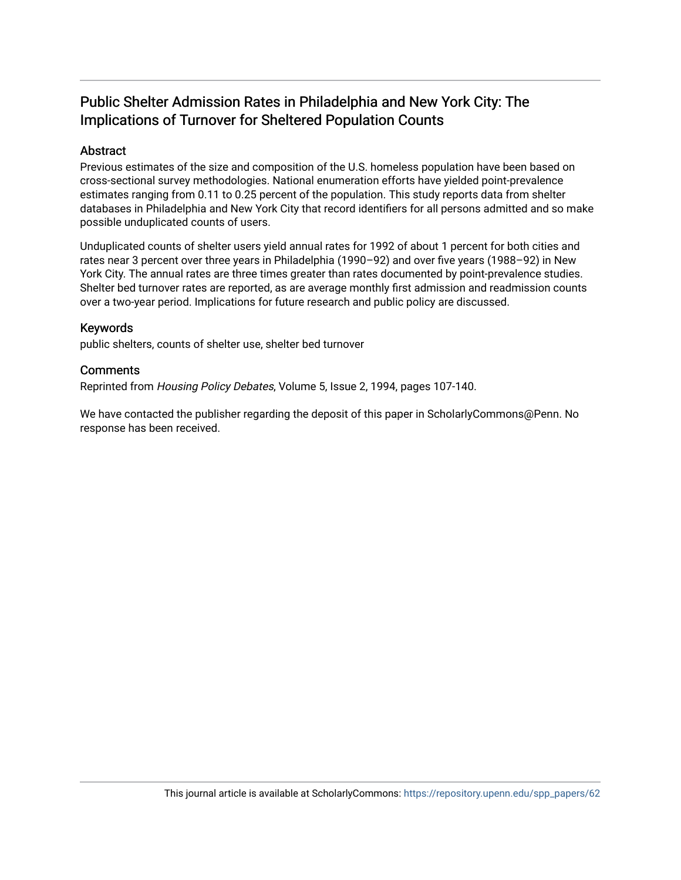## Public Shelter Admission Rates in Philadelphia and New York City: The Implications of Turnover for Sheltered Population Counts

## Abstract

Previous estimates of the size and composition of the U.S. homeless population have been based on cross-sectional survey methodologies. National enumeration efforts have yielded point-prevalence estimates ranging from 0.11 to 0.25 percent of the population. This study reports data from shelter databases in Philadelphia and New York City that record identifiers for all persons admitted and so make possible unduplicated counts of users.

Unduplicated counts of shelter users yield annual rates for 1992 of about 1 percent for both cities and rates near 3 percent over three years in Philadelphia (1990–92) and over five years (1988–92) in New York City. The annual rates are three times greater than rates documented by point-prevalence studies. Shelter bed turnover rates are reported, as are average monthly first admission and readmission counts over a two-year period. Implications for future research and public policy are discussed.

## Keywords

public shelters, counts of shelter use, shelter bed turnover

## **Comments**

Reprinted from Housing Policy Debates, Volume 5, Issue 2, 1994, pages 107-140.

We have contacted the publisher regarding the deposit of this paper in ScholarlyCommons@Penn. No response has been received.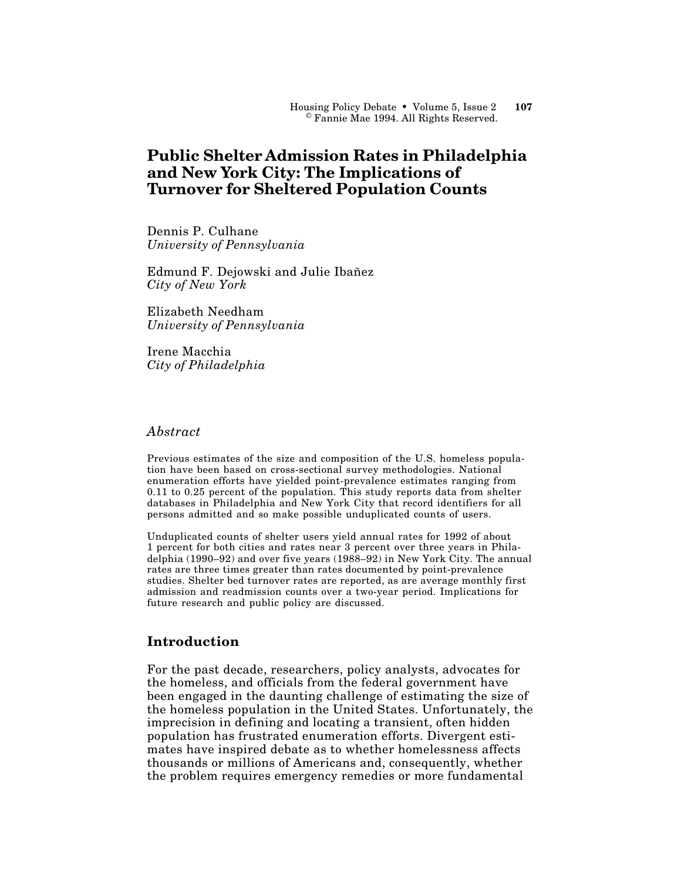## **Public Shelter Admission Rates in Philadelphia and New York City: The Implications of Turnover for Sheltered Population Counts**

Dennis P. Culhane *University of Pennsylvania*

Edmund F. Dejowski and Julie Ibañez *City of New York*

Elizabeth Needham *University of Pennsylvania*

Irene Macchia *City of Philadelphia*

## *Abstract*

Previous estimates of the size and composition of the U.S. homeless population have been based on cross-sectional survey methodologies. National enumeration efforts have yielded point-prevalence estimates ranging from 0.11 to 0.25 percent of the population. This study reports data from shelter databases in Philadelphia and New York City that record identifiers for all persons admitted and so make possible unduplicated counts of users.

Unduplicated counts of shelter users yield annual rates for 1992 of about 1 percent for both cities and rates near 3 percent over three years in Philadelphia (1990–92) and over five years (1988–92) in New York City. The annual rates are three times greater than rates documented by point-prevalence studies. Shelter bed turnover rates are reported, as are average monthly first admission and readmission counts over a two-year period. Implications for future research and public policy are discussed.

## **Introduction**

For the past decade, researchers, policy analysts, advocates for the homeless, and officials from the federal government have been engaged in the daunting challenge of estimating the size of the homeless population in the United States. Unfortunately, the imprecision in defining and locating a transient, often hidden population has frustrated enumeration efforts. Divergent estimates have inspired debate as to whether homelessness affects thousands or millions of Americans and, consequently, whether the problem requires emergency remedies or more fundamental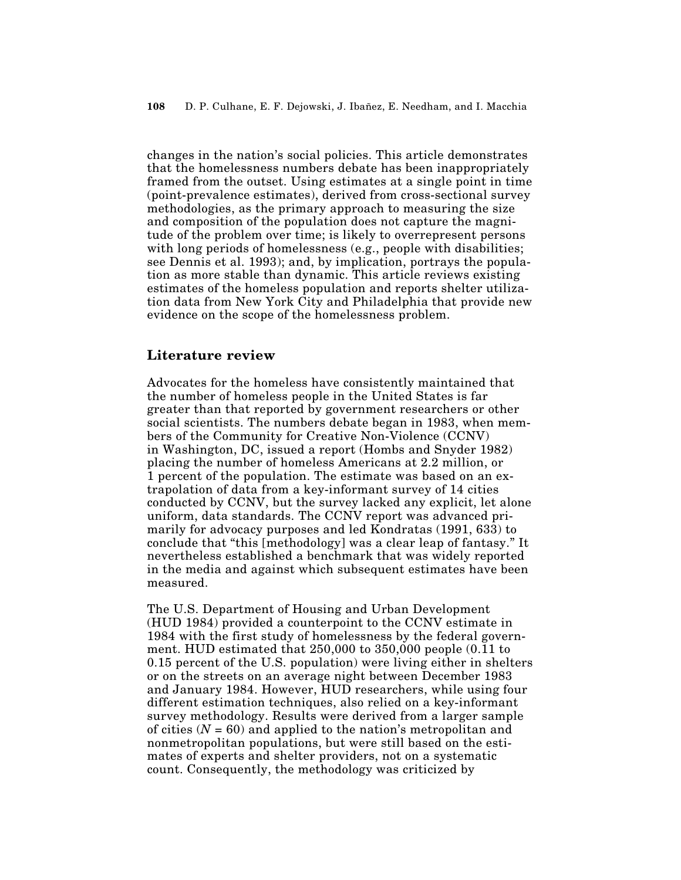changes in the nation's social policies. This article demonstrates that the homelessness numbers debate has been inappropriately framed from the outset. Using estimates at a single point in time (point-prevalence estimates), derived from cross-sectional survey methodologies, as the primary approach to measuring the size and composition of the population does not capture the magnitude of the problem over time; is likely to overrepresent persons with long periods of homelessness (e.g., people with disabilities; see Dennis et al. 1993); and, by implication, portrays the population as more stable than dynamic. This article reviews existing estimates of the homeless population and reports shelter utilization data from New York City and Philadelphia that provide new evidence on the scope of the homelessness problem.

## **Literature review**

Advocates for the homeless have consistently maintained that the number of homeless people in the United States is far greater than that reported by government researchers or other social scientists. The numbers debate began in 1983, when members of the Community for Creative Non-Violence (CCNV) in Washington, DC, issued a report (Hombs and Snyder 1982) placing the number of homeless Americans at 2.2 million, or 1 percent of the population. The estimate was based on an extrapolation of data from a key-informant survey of 14 cities conducted by CCNV, but the survey lacked any explicit, let alone uniform, data standards. The CCNV report was advanced primarily for advocacy purposes and led Kondratas (1991, 633) to conclude that "this [methodology] was a clear leap of fantasy." It nevertheless established a benchmark that was widely reported in the media and against which subsequent estimates have been measured.

The U.S. Department of Housing and Urban Development (HUD 1984) provided a counterpoint to the CCNV estimate in 1984 with the first study of homelessness by the federal government. HUD estimated that 250,000 to 350,000 people (0.11 to 0.15 percent of the U.S. population) were living either in shelters or on the streets on an average night between December 1983 and January 1984. However, HUD researchers, while using four different estimation techniques, also relied on a key-informant survey methodology. Results were derived from a larger sample of cities  $(N = 60)$  and applied to the nation's metropolitan and nonmetropolitan populations, but were still based on the estimates of experts and shelter providers, not on a systematic count. Consequently, the methodology was criticized by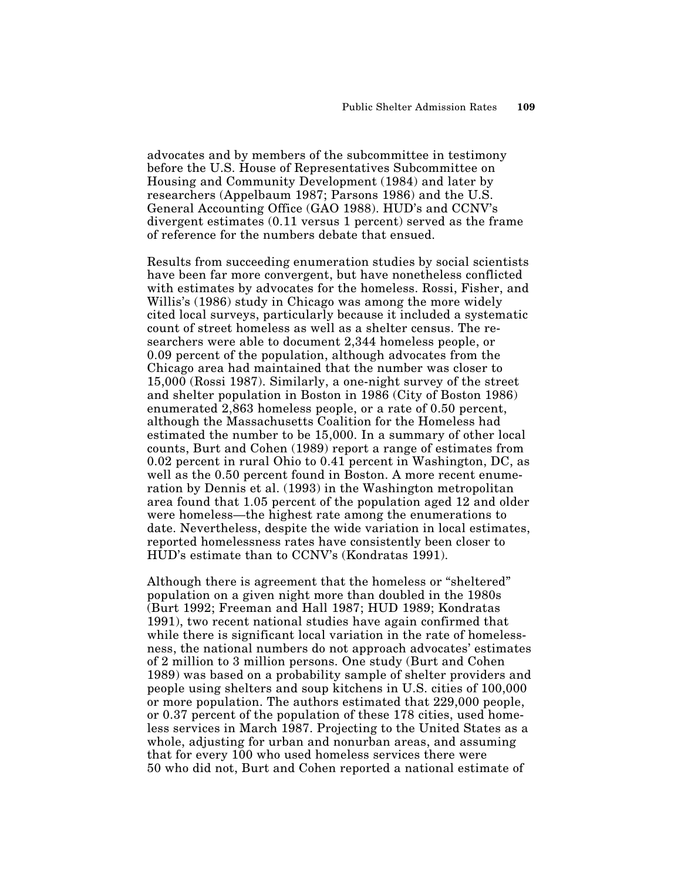advocates and by members of the subcommittee in testimony before the U.S. House of Representatives Subcommittee on Housing and Community Development (1984) and later by researchers (Appelbaum 1987; Parsons 1986) and the U.S. General Accounting Office (GAO 1988). HUD's and CCNV's divergent estimates (0.11 versus 1 percent) served as the frame of reference for the numbers debate that ensued.

Results from succeeding enumeration studies by social scientists have been far more convergent, but have nonetheless conflicted with estimates by advocates for the homeless. Rossi, Fisher, and Willis's (1986) study in Chicago was among the more widely cited local surveys, particularly because it included a systematic count of street homeless as well as a shelter census. The researchers were able to document 2,344 homeless people, or 0.09 percent of the population, although advocates from the Chicago area had maintained that the number was closer to 15,000 (Rossi 1987). Similarly, a one-night survey of the street and shelter population in Boston in 1986 (City of Boston 1986) enumerated 2,863 homeless people, or a rate of 0.50 percent, although the Massachusetts Coalition for the Homeless had estimated the number to be 15,000. In a summary of other local counts, Burt and Cohen (1989) report a range of estimates from 0.02 percent in rural Ohio to 0.41 percent in Washington, DC, as well as the 0.50 percent found in Boston. A more recent enumeration by Dennis et al. (1993) in the Washington metropolitan area found that 1.05 percent of the population aged 12 and older were homeless—the highest rate among the enumerations to date. Nevertheless, despite the wide variation in local estimates, reported homelessness rates have consistently been closer to HUD's estimate than to CCNV's (Kondratas 1991).

Although there is agreement that the homeless or "sheltered" population on a given night more than doubled in the 1980s (Burt 1992; Freeman and Hall 1987; HUD 1989; Kondratas 1991), two recent national studies have again confirmed that while there is significant local variation in the rate of homelessness, the national numbers do not approach advocates' estimates of 2 million to 3 million persons. One study (Burt and Cohen 1989) was based on a probability sample of shelter providers and people using shelters and soup kitchens in U.S. cities of 100,000 or more population. The authors estimated that 229,000 people, or 0.37 percent of the population of these 178 cities, used homeless services in March 1987. Projecting to the United States as a whole, adjusting for urban and nonurban areas, and assuming that for every 100 who used homeless services there were 50 who did not, Burt and Cohen reported a national estimate of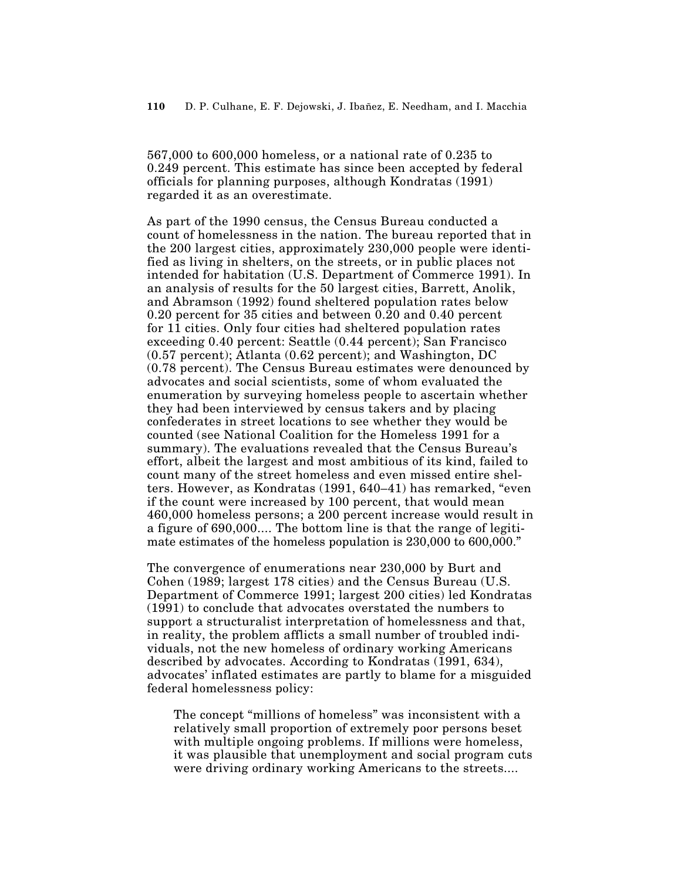567,000 to 600,000 homeless, or a national rate of 0.235 to 0.249 percent. This estimate has since been accepted by federal officials for planning purposes, although Kondratas (1991) regarded it as an overestimate.

As part of the 1990 census, the Census Bureau conducted a count of homelessness in the nation. The bureau reported that in the 200 largest cities, approximately 230,000 people were identified as living in shelters, on the streets, or in public places not intended for habitation (U.S. Department of Commerce 1991). In an analysis of results for the 50 largest cities, Barrett, Anolik, and Abramson (1992) found sheltered population rates below 0.20 percent for 35 cities and between 0.20 and 0.40 percent for 11 cities. Only four cities had sheltered population rates exceeding 0.40 percent: Seattle (0.44 percent); San Francisco (0.57 percent); Atlanta (0.62 percent); and Washington, DC (0.78 percent). The Census Bureau estimates were denounced by advocates and social scientists, some of whom evaluated the enumeration by surveying homeless people to ascertain whether they had been interviewed by census takers and by placing confederates in street locations to see whether they would be counted (see National Coalition for the Homeless 1991 for a summary). The evaluations revealed that the Census Bureau's effort, albeit the largest and most ambitious of its kind, failed to count many of the street homeless and even missed entire shelters. However, as Kondratas (1991, 640–41) has remarked, "even if the count were increased by 100 percent, that would mean 460,000 homeless persons; a 200 percent increase would result in a figure of 690,000.... The bottom line is that the range of legitimate estimates of the homeless population is 230,000 to 600,000."

The convergence of enumerations near 230,000 by Burt and Cohen (1989; largest 178 cities) and the Census Bureau (U.S. Department of Commerce 1991; largest 200 cities) led Kondratas (1991) to conclude that advocates overstated the numbers to support a structuralist interpretation of homelessness and that, in reality, the problem afflicts a small number of troubled individuals, not the new homeless of ordinary working Americans described by advocates. According to Kondratas (1991, 634), advocates' inflated estimates are partly to blame for a misguided federal homelessness policy:

The concept "millions of homeless" was inconsistent with a relatively small proportion of extremely poor persons beset with multiple ongoing problems. If millions were homeless, it was plausible that unemployment and social program cuts were driving ordinary working Americans to the streets....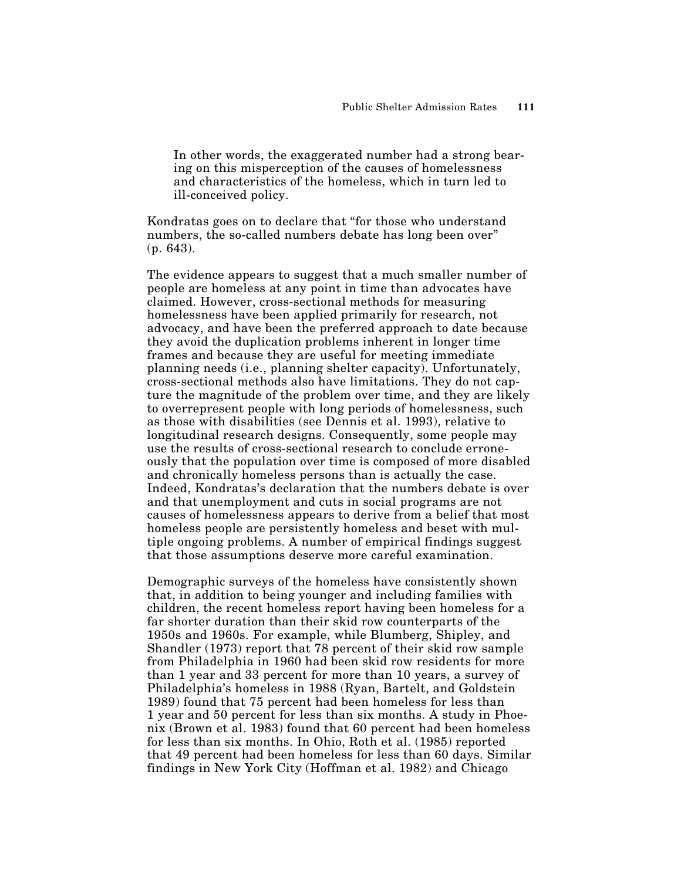In other words, the exaggerated number had a strong bearing on this misperception of the causes of homelessness and characteristics of the homeless, which in turn led to ill-conceived policy.

Kondratas goes on to declare that "for those who understand numbers, the so-called numbers debate has long been over" (p. 643).

The evidence appears to suggest that a much smaller number of people are homeless at any point in time than advocates have claimed. However, cross-sectional methods for measuring homelessness have been applied primarily for research, not advocacy, and have been the preferred approach to date because they avoid the duplication problems inherent in longer time frames and because they are useful for meeting immediate planning needs (i.e., planning shelter capacity). Unfortunately, cross-sectional methods also have limitations. They do not capture the magnitude of the problem over time, and they are likely to overrepresent people with long periods of homelessness, such as those with disabilities (see Dennis et al. 1993), relative to longitudinal research designs. Consequently, some people may use the results of cross-sectional research to conclude erroneously that the population over time is composed of more disabled and chronically homeless persons than is actually the case. Indeed, Kondratas's declaration that the numbers debate is over and that unemployment and cuts in social programs are not causes of homelessness appears to derive from a belief that most homeless people are persistently homeless and beset with multiple ongoing problems. A number of empirical findings suggest that those assumptions deserve more careful examination.

Demographic surveys of the homeless have consistently shown that, in addition to being younger and including families with children, the recent homeless report having been homeless for a far shorter duration than their skid row counterparts of the 1950s and 1960s. For example, while Blumberg, Shipley, and Shandler (1973) report that 78 percent of their skid row sample from Philadelphia in 1960 had been skid row residents for more than 1 year and 33 percent for more than 10 years, a survey of Philadelphia's homeless in 1988 (Ryan, Bartelt, and Goldstein 1989) found that 75 percent had been homeless for less than 1 year and 50 percent for less than six months. A study in Phoenix (Brown et al. 1983) found that 60 percent had been homeless for less than six months. In Ohio, Roth et al. (1985) reported that 49 percent had been homeless for less than 60 days. Similar findings in New York City (Hoffman et al. 1982) and Chicago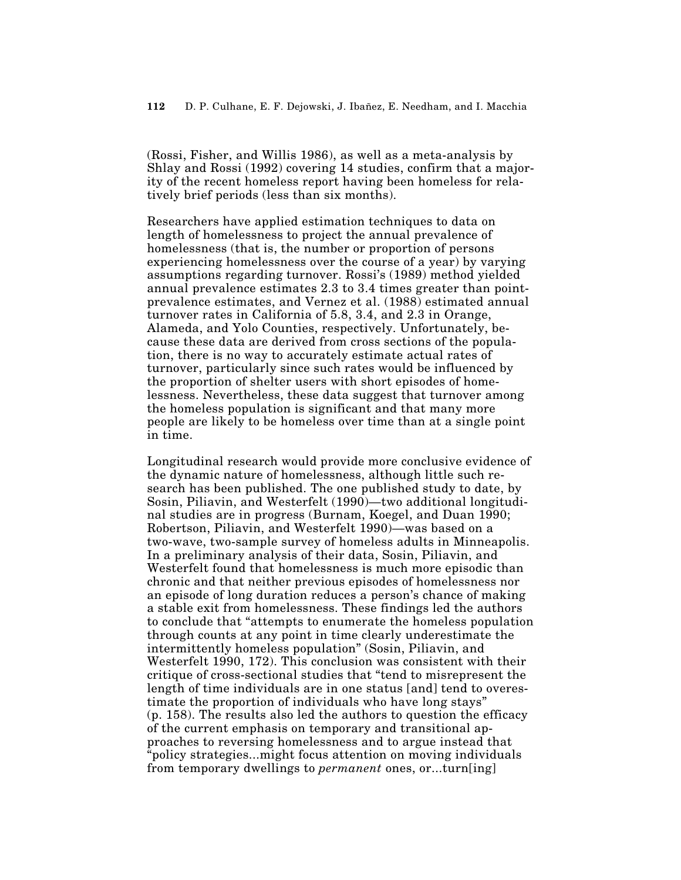(Rossi, Fisher, and Willis 1986), as well as a meta-analysis by Shlay and Rossi (1992) covering 14 studies, confirm that a majority of the recent homeless report having been homeless for relatively brief periods (less than six months).

Researchers have applied estimation techniques to data on length of homelessness to project the annual prevalence of homelessness (that is, the number or proportion of persons experiencing homelessness over the course of a year) by varying assumptions regarding turnover. Rossi's (1989) method yielded annual prevalence estimates 2.3 to 3.4 times greater than pointprevalence estimates, and Vernez et al. (1988) estimated annual turnover rates in California of 5.8, 3.4, and 2.3 in Orange, Alameda, and Yolo Counties, respectively. Unfortunately, because these data are derived from cross sections of the population, there is no way to accurately estimate actual rates of turnover, particularly since such rates would be influenced by the proportion of shelter users with short episodes of homelessness. Nevertheless, these data suggest that turnover among the homeless population is significant and that many more people are likely to be homeless over time than at a single point in time.

Longitudinal research would provide more conclusive evidence of the dynamic nature of homelessness, although little such research has been published. The one published study to date, by Sosin, Piliavin, and Westerfelt (1990)—two additional longitudinal studies are in progress (Burnam, Koegel, and Duan 1990; Robertson, Piliavin, and Westerfelt 1990)—was based on a two-wave, two-sample survey of homeless adults in Minneapolis. In a preliminary analysis of their data, Sosin, Piliavin, and Westerfelt found that homelessness is much more episodic than chronic and that neither previous episodes of homelessness nor an episode of long duration reduces a person's chance of making a stable exit from homelessness. These findings led the authors to conclude that "attempts to enumerate the homeless population through counts at any point in time clearly underestimate the intermittently homeless population" (Sosin, Piliavin, and Westerfelt 1990, 172). This conclusion was consistent with their critique of cross-sectional studies that "tend to misrepresent the length of time individuals are in one status [and] tend to overestimate the proportion of individuals who have long stays" (p. 158). The results also led the authors to question the efficacy of the current emphasis on temporary and transitional approaches to reversing homelessness and to argue instead that "policy strategies...might focus attention on moving individuals from temporary dwellings to *permanent* ones, or...turn[ing]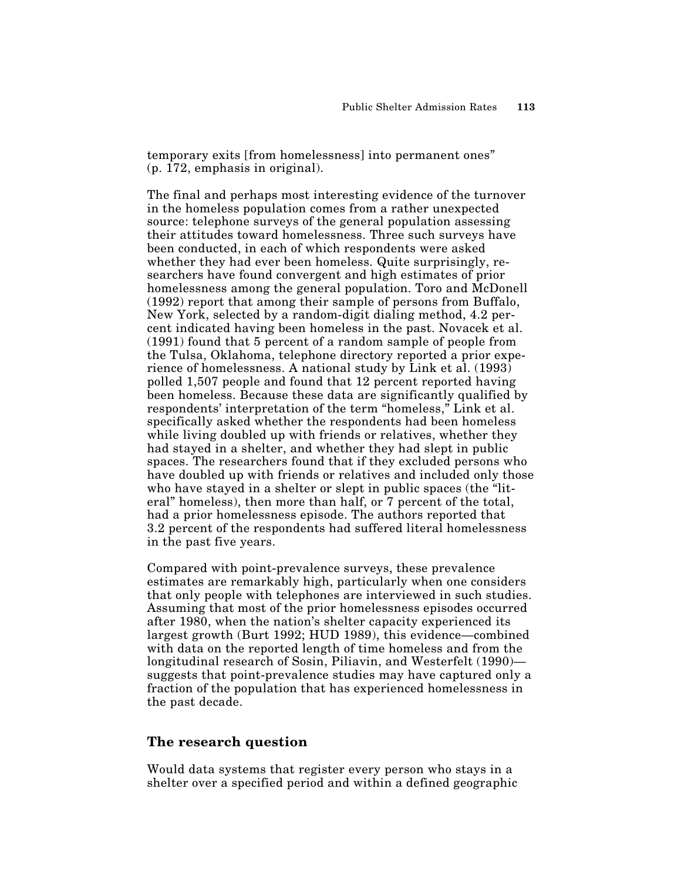temporary exits [from homelessness] into permanent ones" (p. 172, emphasis in original).

The final and perhaps most interesting evidence of the turnover in the homeless population comes from a rather unexpected source: telephone surveys of the general population assessing their attitudes toward homelessness. Three such surveys have been conducted, in each of which respondents were asked whether they had ever been homeless. Quite surprisingly, researchers have found convergent and high estimates of prior homelessness among the general population. Toro and McDonell (1992) report that among their sample of persons from Buffalo, New York, selected by a random-digit dialing method, 4.2 percent indicated having been homeless in the past. Novacek et al. (1991) found that 5 percent of a random sample of people from the Tulsa, Oklahoma, telephone directory reported a prior experience of homelessness. A national study by Link et al. (1993) polled 1,507 people and found that 12 percent reported having been homeless. Because these data are significantly qualified by respondents' interpretation of the term "homeless," Link et al. specifically asked whether the respondents had been homeless while living doubled up with friends or relatives, whether they had stayed in a shelter, and whether they had slept in public spaces. The researchers found that if they excluded persons who have doubled up with friends or relatives and included only those who have stayed in a shelter or slept in public spaces (the "literal" homeless), then more than half, or 7 percent of the total, had a prior homelessness episode. The authors reported that 3.2 percent of the respondents had suffered literal homelessness in the past five years.

Compared with point-prevalence surveys, these prevalence estimates are remarkably high, particularly when one considers that only people with telephones are interviewed in such studies. Assuming that most of the prior homelessness episodes occurred after 1980, when the nation's shelter capacity experienced its largest growth (Burt 1992; HUD 1989), this evidence—combined with data on the reported length of time homeless and from the longitudinal research of Sosin, Piliavin, and Westerfelt (1990) suggests that point-prevalence studies may have captured only a fraction of the population that has experienced homelessness in the past decade.

## **The research question**

Would data systems that register every person who stays in a shelter over a specified period and within a defined geographic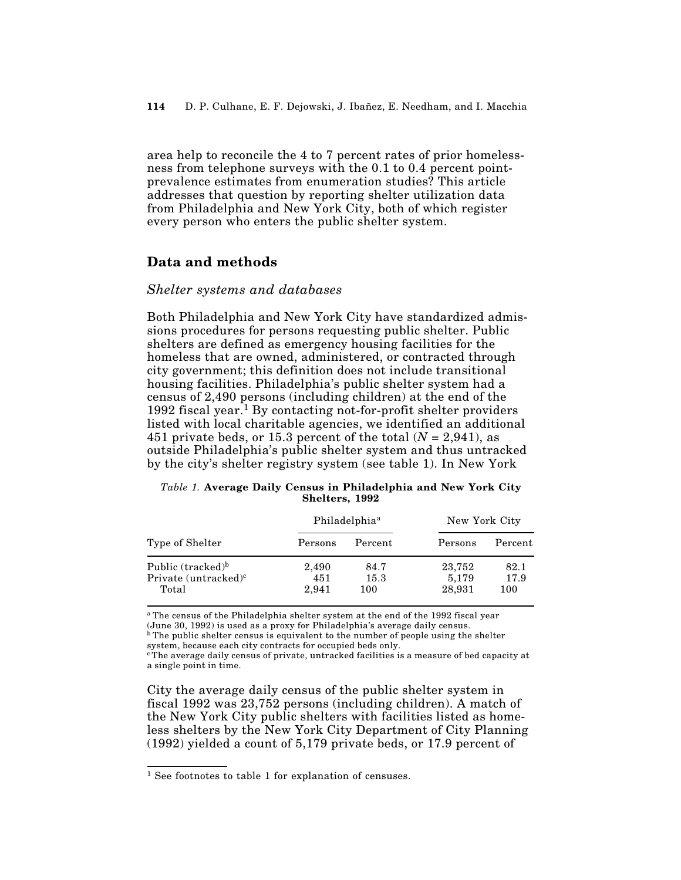area help to reconcile the 4 to 7 percent rates of prior homelessness from telephone surveys with the 0.1 to 0.4 percent pointprevalence estimates from enumeration studies? This article addresses that question by reporting shelter utilization data from Philadelphia and New York City, both of which register every person who enters the public shelter system.

## **Data and methods**

#### *Shelter systems and databases*

Both Philadelphia and New York City have standardized admissions procedures for persons requesting public shelter. Public shelters are defined as emergency housing facilities for the homeless that are owned, administered, or contracted through city government; this definition does not include transitional housing facilities. Philadelphia's public shelter system had a census of 2,490 persons (including children) at the end of the 1992 fiscal year.<sup>1</sup> By contacting not-for-profit shelter providers listed with local charitable agencies, we identified an additional 451 private beds, or 15.3 percent of the total  $(N = 2,941)$ , as outside Philadelphia's public shelter system and thus untracked by the city's shelter registry system (see table 1). In New York

| <i>Table 1.</i> Average Daily Census in Philadelphia and New York City |                |  |
|------------------------------------------------------------------------|----------------|--|
|                                                                        | Shelters, 1992 |  |

|                                                                   |                       | Philadelphia <sup>a</sup> | New York City             |                     |  |
|-------------------------------------------------------------------|-----------------------|---------------------------|---------------------------|---------------------|--|
| Type of Shelter                                                   | Persons               | Percent                   | Persons                   | Percent             |  |
| Public (tracked) <sup>b</sup><br>Private $(untracket)^c$<br>Total | 2.490<br>451<br>2.941 | 84.7<br>15.3<br>100       | 23,752<br>5.179<br>28,931 | 82.1<br>17.9<br>100 |  |

<sup>a</sup> The census of the Philadelphia shelter system at the end of the 1992 fiscal year (June 30, 1992) is used as a proxy for Philadelphia's average daily census.

<sup>b</sup> The public shelter census is equivalent to the number of people using the shelter system, because each city contracts for occupied beds only.

<sup>c</sup> The average daily census of private, untracked facilities is a measure of bed capacity at a single point in time.

City the average daily census of the public shelter system in fiscal 1992 was 23,752 persons (including children). A match of the New York City public shelters with facilities listed as homeless shelters by the New York City Department of City Planning (1992) yielded a count of 5,179 private beds, or 17.9 percent of

<sup>&</sup>lt;sup>1</sup> See footnotes to table 1 for explanation of censuses.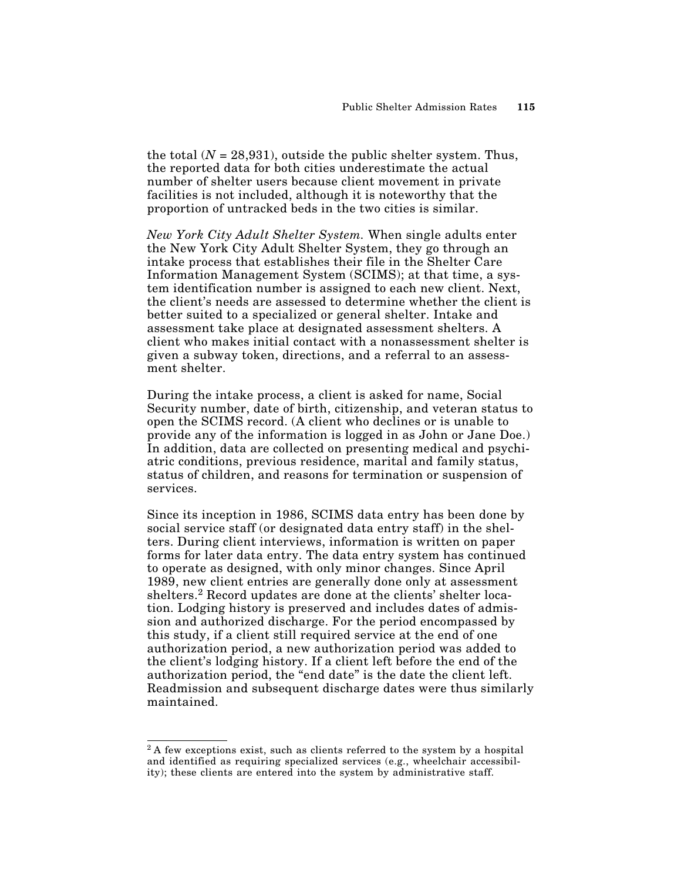the total  $(N = 28,931)$ , outside the public shelter system. Thus, the reported data for both cities underestimate the actual number of shelter users because client movement in private facilities is not included, although it is noteworthy that the proportion of untracked beds in the two cities is similar.

*New York City Adult Shelter System.* When single adults enter the New York City Adult Shelter System, they go through an intake process that establishes their file in the Shelter Care Information Management System (SCIMS); at that time, a system identification number is assigned to each new client. Next, the client's needs are assessed to determine whether the client is better suited to a specialized or general shelter. Intake and assessment take place at designated assessment shelters. A client who makes initial contact with a nonassessment shelter is given a subway token, directions, and a referral to an assessment shelter.

During the intake process, a client is asked for name, Social Security number, date of birth, citizenship, and veteran status to open the SCIMS record. (A client who declines or is unable to provide any of the information is logged in as John or Jane Doe.) In addition, data are collected on presenting medical and psychiatric conditions, previous residence, marital and family status, status of children, and reasons for termination or suspension of services.

Since its inception in 1986, SCIMS data entry has been done by social service staff (or designated data entry staff) in the shelters. During client interviews, information is written on paper forms for later data entry. The data entry system has continued to operate as designed, with only minor changes. Since April 1989, new client entries are generally done only at assessment shelters.<sup>2</sup> Record updates are done at the clients' shelter location. Lodging history is preserved and includes dates of admission and authorized discharge. For the period encompassed by this study, if a client still required service at the end of one authorization period, a new authorization period was added to the client's lodging history. If a client left before the end of the authorization period, the "end date" is the date the client left. Readmission and subsequent discharge dates were thus similarly maintained.

 $2A$  few exceptions exist, such as clients referred to the system by a hospital and identified as requiring specialized services (e.g., wheelchair accessibility); these clients are entered into the system by administrative staff.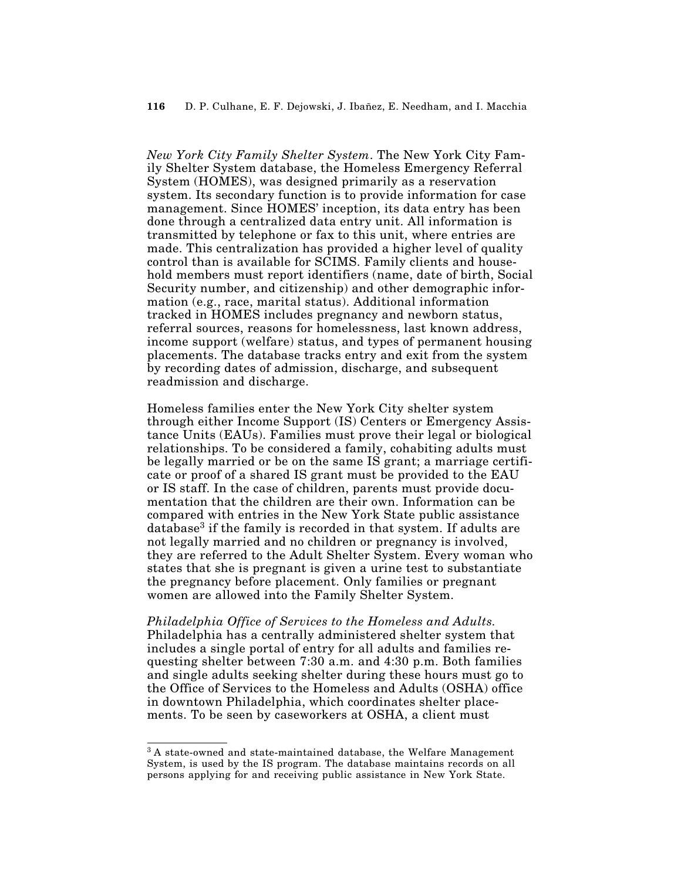#### **116** D. P. Culhane, E. F. Dejowski, J. Ibañez, E. Needham, and I. Macchia

*New York City Family Shelter System*. The New York City Family Shelter System database, the Homeless Emergency Referral System (HOMES), was designed primarily as a reservation system. Its secondary function is to provide information for case management. Since HOMES' inception, its data entry has been done through a centralized data entry unit. All information is transmitted by telephone or fax to this unit, where entries are made. This centralization has provided a higher level of quality control than is available for SCIMS. Family clients and household members must report identifiers (name, date of birth, Social Security number, and citizenship) and other demographic information (e.g., race, marital status). Additional information tracked in HOMES includes pregnancy and newborn status, referral sources, reasons for homelessness, last known address, income support (welfare) status, and types of permanent housing placements. The database tracks entry and exit from the system by recording dates of admission, discharge, and subsequent readmission and discharge.

Homeless families enter the New York City shelter system through either Income Support (IS) Centers or Emergency Assistance Units (EAUs). Families must prove their legal or biological relationships. To be considered a family, cohabiting adults must be legally married or be on the same IS grant; a marriage certificate or proof of a shared IS grant must be provided to the EAU or IS staff. In the case of children, parents must provide documentation that the children are their own. Information can be compared with entries in the New York State public assistance database<sup>3</sup> if the family is recorded in that system. If adults are not legally married and no children or pregnancy is involved, they are referred to the Adult Shelter System. Every woman who states that she is pregnant is given a urine test to substantiate the pregnancy before placement. Only families or pregnant women are allowed into the Family Shelter System.

*Philadelphia Office of Services to the Homeless and Adults.* Philadelphia has a centrally administered shelter system that includes a single portal of entry for all adults and families requesting shelter between 7:30 a.m. and 4:30 p.m. Both families and single adults seeking shelter during these hours must go to the Office of Services to the Homeless and Adults (OSHA) office in downtown Philadelphia, which coordinates shelter placements. To be seen by caseworkers at OSHA, a client must

<sup>&</sup>lt;sup>3</sup> A state-owned and state-maintained database, the Welfare Management System, is used by the IS program. The database maintains records on all persons applying for and receiving public assistance in New York State.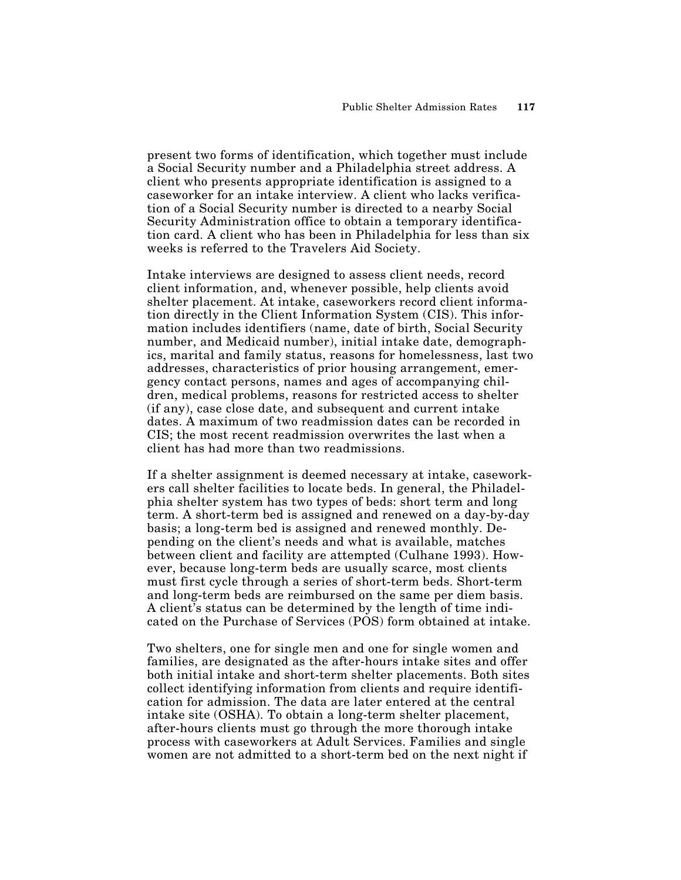present two forms of identification, which together must include a Social Security number and a Philadelphia street address. A client who presents appropriate identification is assigned to a caseworker for an intake interview. A client who lacks verification of a Social Security number is directed to a nearby Social Security Administration office to obtain a temporary identification card. A client who has been in Philadelphia for less than six weeks is referred to the Travelers Aid Society.

Intake interviews are designed to assess client needs, record client information, and, whenever possible, help clients avoid shelter placement. At intake, caseworkers record client information directly in the Client Information System (CIS). This information includes identifiers (name, date of birth, Social Security number, and Medicaid number), initial intake date, demographics, marital and family status, reasons for homelessness, last two addresses, characteristics of prior housing arrangement, emergency contact persons, names and ages of accompanying children, medical problems, reasons for restricted access to shelter (if any), case close date, and subsequent and current intake dates. A maximum of two readmission dates can be recorded in CIS; the most recent readmission overwrites the last when a client has had more than two readmissions.

If a shelter assignment is deemed necessary at intake, caseworkers call shelter facilities to locate beds. In general, the Philadelphia shelter system has two types of beds: short term and long term. A short-term bed is assigned and renewed on a day-by-day basis; a long-term bed is assigned and renewed monthly. Depending on the client's needs and what is available, matches between client and facility are attempted (Culhane 1993). However, because long-term beds are usually scarce, most clients must first cycle through a series of short-term beds. Short-term and long-term beds are reimbursed on the same per diem basis. A client's status can be determined by the length of time indicated on the Purchase of Services (POS) form obtained at intake.

Two shelters, one for single men and one for single women and families, are designated as the after-hours intake sites and offer both initial intake and short-term shelter placements. Both sites collect identifying information from clients and require identification for admission. The data are later entered at the central intake site (OSHA). To obtain a long-term shelter placement, after-hours clients must go through the more thorough intake process with caseworkers at Adult Services. Families and single women are not admitted to a short-term bed on the next night if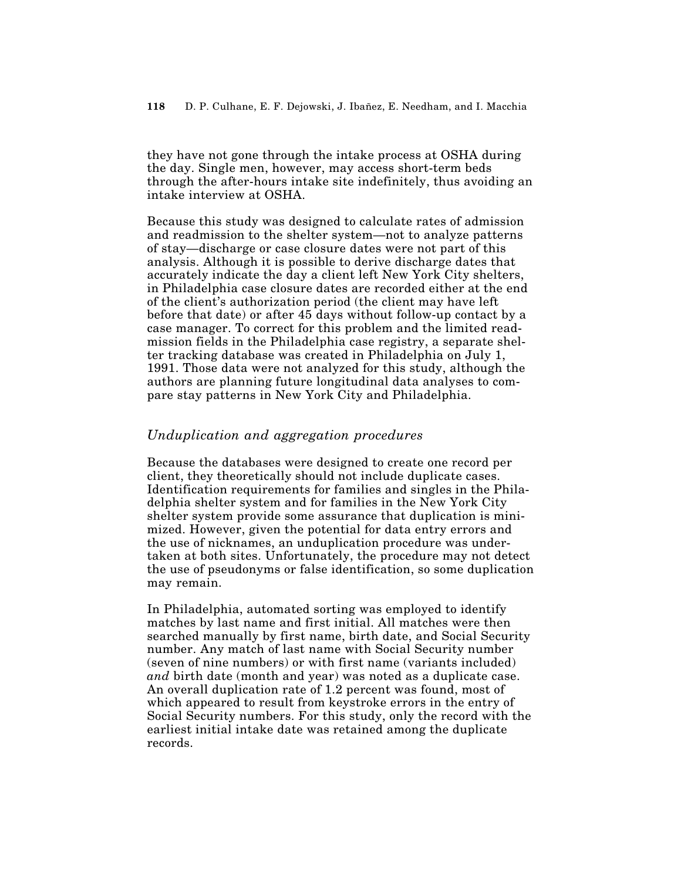they have not gone through the intake process at OSHA during the day. Single men, however, may access short-term beds through the after-hours intake site indefinitely, thus avoiding an intake interview at OSHA.

Because this study was designed to calculate rates of admission and readmission to the shelter system—not to analyze patterns of stay—discharge or case closure dates were not part of this analysis. Although it is possible to derive discharge dates that accurately indicate the day a client left New York City shelters, in Philadelphia case closure dates are recorded either at the end of the client's authorization period (the client may have left before that date) or after 45 days without follow-up contact by a case manager. To correct for this problem and the limited readmission fields in the Philadelphia case registry, a separate shelter tracking database was created in Philadelphia on July 1, 1991. Those data were not analyzed for this study, although the authors are planning future longitudinal data analyses to compare stay patterns in New York City and Philadelphia.

## *Unduplication and aggregation procedures*

Because the databases were designed to create one record per client, they theoretically should not include duplicate cases. Identification requirements for families and singles in the Philadelphia shelter system and for families in the New York City shelter system provide some assurance that duplication is minimized. However, given the potential for data entry errors and the use of nicknames, an unduplication procedure was undertaken at both sites. Unfortunately, the procedure may not detect the use of pseudonyms or false identification, so some duplication may remain.

In Philadelphia, automated sorting was employed to identify matches by last name and first initial. All matches were then searched manually by first name, birth date, and Social Security number. Any match of last name with Social Security number (seven of nine numbers) or with first name (variants included) *and* birth date (month and year) was noted as a duplicate case. An overall duplication rate of 1.2 percent was found, most of which appeared to result from keystroke errors in the entry of Social Security numbers. For this study, only the record with the earliest initial intake date was retained among the duplicate records.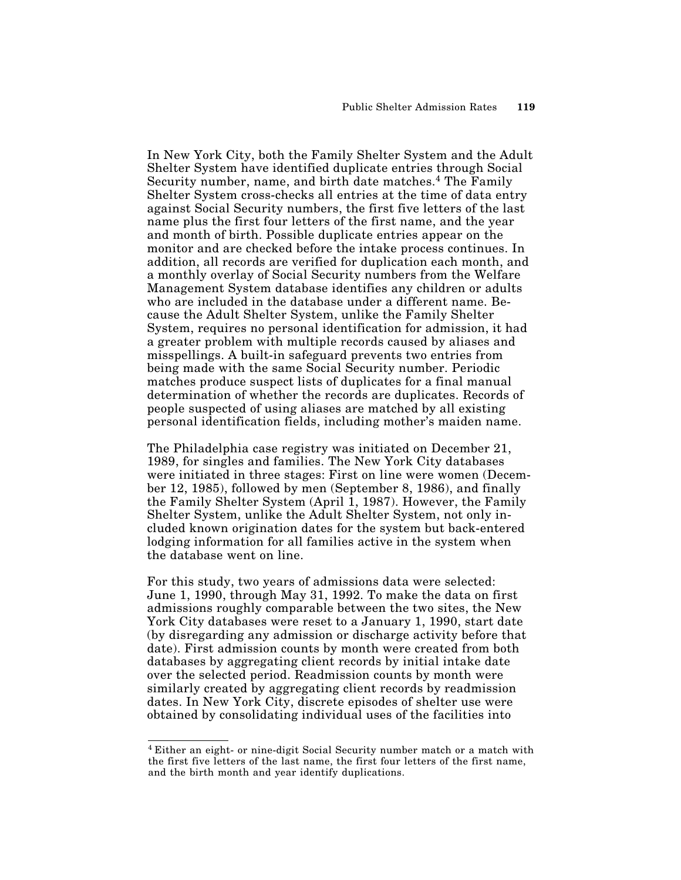In New York City, both the Family Shelter System and the Adult Shelter System have identified duplicate entries through Social Security number, name, and birth date matches.<sup>4</sup> The Family Shelter System cross-checks all entries at the time of data entry against Social Security numbers, the first five letters of the last name plus the first four letters of the first name, and the year and month of birth. Possible duplicate entries appear on the monitor and are checked before the intake process continues. In addition, all records are verified for duplication each month, and a monthly overlay of Social Security numbers from the Welfare Management System database identifies any children or adults who are included in the database under a different name. Because the Adult Shelter System, unlike the Family Shelter System, requires no personal identification for admission, it had a greater problem with multiple records caused by aliases and misspellings. A built-in safeguard prevents two entries from being made with the same Social Security number. Periodic matches produce suspect lists of duplicates for a final manual determination of whether the records are duplicates. Records of people suspected of using aliases are matched by all existing personal identification fields, including mother's maiden name.

The Philadelphia case registry was initiated on December 21, 1989, for singles and families. The New York City databases were initiated in three stages: First on line were women (December 12, 1985), followed by men (September 8, 1986), and finally the Family Shelter System (April 1, 1987). However, the Family Shelter System, unlike the Adult Shelter System, not only included known origination dates for the system but back-entered lodging information for all families active in the system when the database went on line.

For this study, two years of admissions data were selected: June 1, 1990, through May 31, 1992. To make the data on first admissions roughly comparable between the two sites, the New York City databases were reset to a January 1, 1990, start date (by disregarding any admission or discharge activity before that date). First admission counts by month were created from both databases by aggregating client records by initial intake date over the selected period. Readmission counts by month were similarly created by aggregating client records by readmission dates. In New York City, discrete episodes of shelter use were obtained by consolidating individual uses of the facilities into

<sup>4</sup> Either an eight- or nine-digit Social Security number match or a match with the first five letters of the last name, the first four letters of the first name, and the birth month and year identify duplications.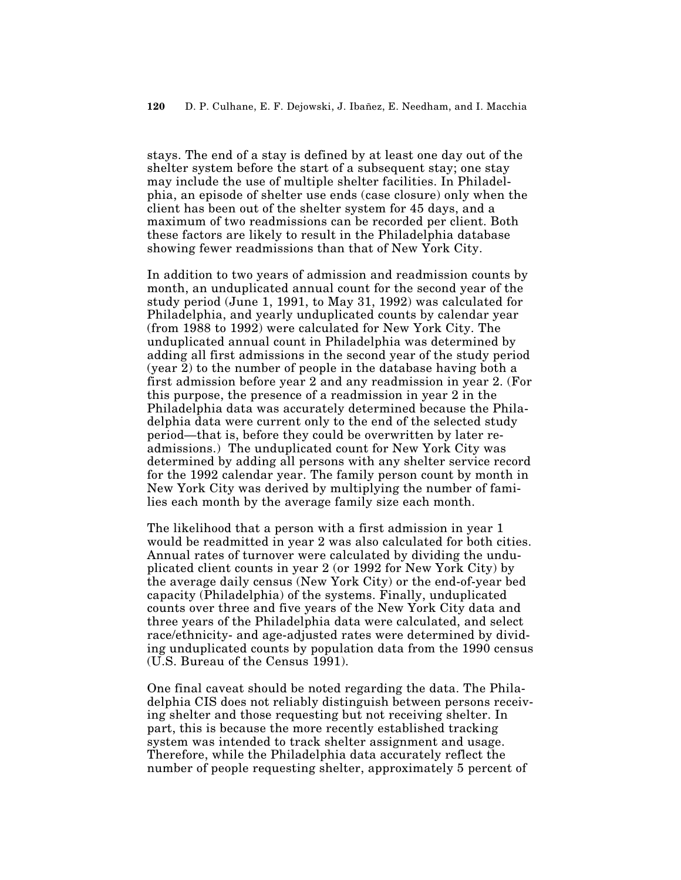stays. The end of a stay is defined by at least one day out of the shelter system before the start of a subsequent stay; one stay may include the use of multiple shelter facilities. In Philadelphia, an episode of shelter use ends (case closure) only when the client has been out of the shelter system for 45 days, and a maximum of two readmissions can be recorded per client. Both these factors are likely to result in the Philadelphia database showing fewer readmissions than that of New York City.

In addition to two years of admission and readmission counts by month, an unduplicated annual count for the second year of the study period (June 1, 1991, to May 31, 1992) was calculated for Philadelphia, and yearly unduplicated counts by calendar year (from 1988 to 1992) were calculated for New York City. The unduplicated annual count in Philadelphia was determined by adding all first admissions in the second year of the study period (year 2) to the number of people in the database having both a first admission before year 2 and any readmission in year 2. (For this purpose, the presence of a readmission in year 2 in the Philadelphia data was accurately determined because the Philadelphia data were current only to the end of the selected study period—that is, before they could be overwritten by later readmissions.) The unduplicated count for New York City was determined by adding all persons with any shelter service record for the 1992 calendar year. The family person count by month in New York City was derived by multiplying the number of families each month by the average family size each month.

The likelihood that a person with a first admission in year 1 would be readmitted in year 2 was also calculated for both cities. Annual rates of turnover were calculated by dividing the unduplicated client counts in year 2 (or 1992 for New York City) by the average daily census (New York City) or the end-of-year bed capacity (Philadelphia) of the systems. Finally, unduplicated counts over three and five years of the New York City data and three years of the Philadelphia data were calculated, and select race/ethnicity- and age-adjusted rates were determined by dividing unduplicated counts by population data from the 1990 census (U.S. Bureau of the Census 1991).

One final caveat should be noted regarding the data. The Philadelphia CIS does not reliably distinguish between persons receiving shelter and those requesting but not receiving shelter. In part, this is because the more recently established tracking system was intended to track shelter assignment and usage. Therefore, while the Philadelphia data accurately reflect the number of people requesting shelter, approximately 5 percent of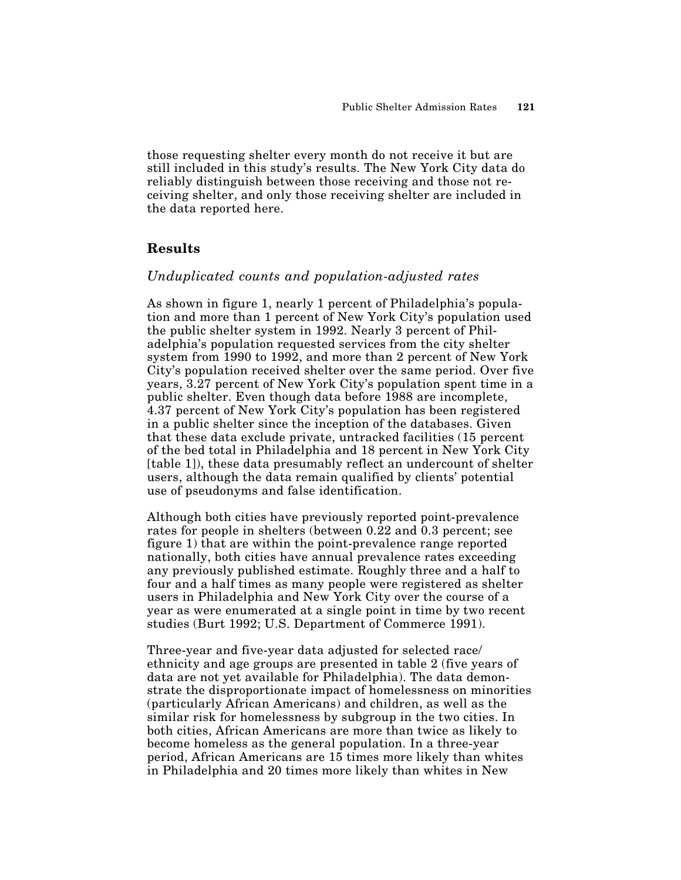those requesting shelter every month do not receive it but are still included in this study's results. The New York City data do reliably distinguish between those receiving and those not receiving shelter, and only those receiving shelter are included in the data reported here.

## **Results**

## *Unduplicated counts and population-adjusted rates*

As shown in figure 1, nearly 1 percent of Philadelphia's population and more than 1 percent of New York City's population used the public shelter system in 1992. Nearly 3 percent of Philadelphia's population requested services from the city shelter system from 1990 to 1992, and more than 2 percent of New York City's population received shelter over the same period. Over five years, 3.27 percent of New York City's population spent time in a public shelter. Even though data before 1988 are incomplete, 4.37 percent of New York City's population has been registered in a public shelter since the inception of the databases. Given that these data exclude private, untracked facilities (15 percent of the bed total in Philadelphia and 18 percent in New York City [table 1]), these data presumably reflect an undercount of shelter users, although the data remain qualified by clients' potential use of pseudonyms and false identification.

Although both cities have previously reported point-prevalence rates for people in shelters (between 0.22 and 0.3 percent; see figure 1) that are within the point-prevalence range reported nationally, both cities have annual prevalence rates exceeding any previously published estimate. Roughly three and a half to four and a half times as many people were registered as shelter users in Philadelphia and New York City over the course of a year as were enumerated at a single point in time by two recent studies (Burt 1992; U.S. Department of Commerce 1991).

Three-year and five-year data adjusted for selected race/ ethnicity and age groups are presented in table 2 (five years of data are not yet available for Philadelphia). The data demonstrate the disproportionate impact of homelessness on minorities (particularly African Americans) and children, as well as the similar risk for homelessness by subgroup in the two cities. In both cities, African Americans are more than twice as likely to become homeless as the general population. In a three-year period, African Americans are 15 times more likely than whites in Philadelphia and 20 times more likely than whites in New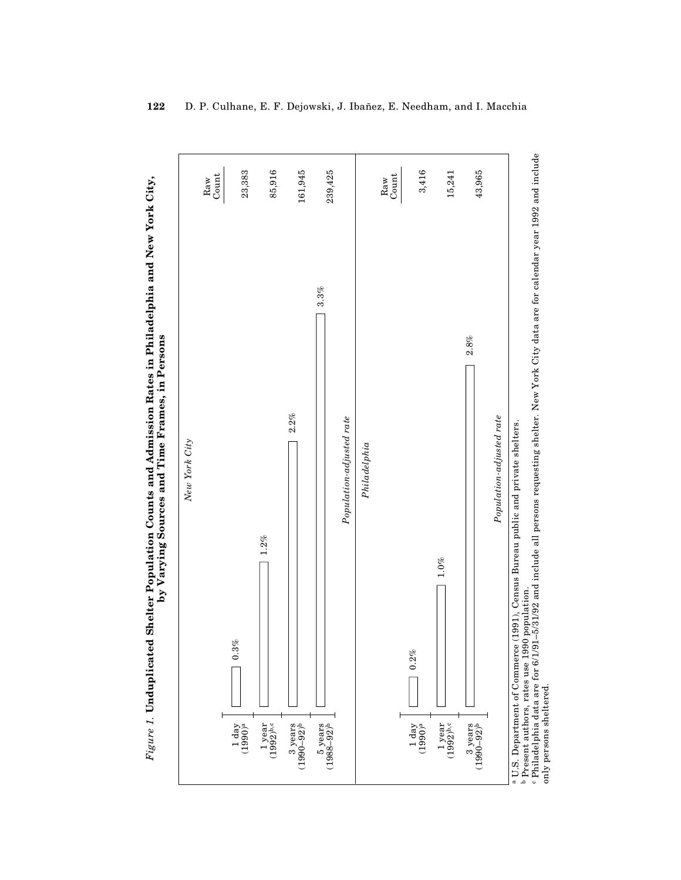

only persons sheltered.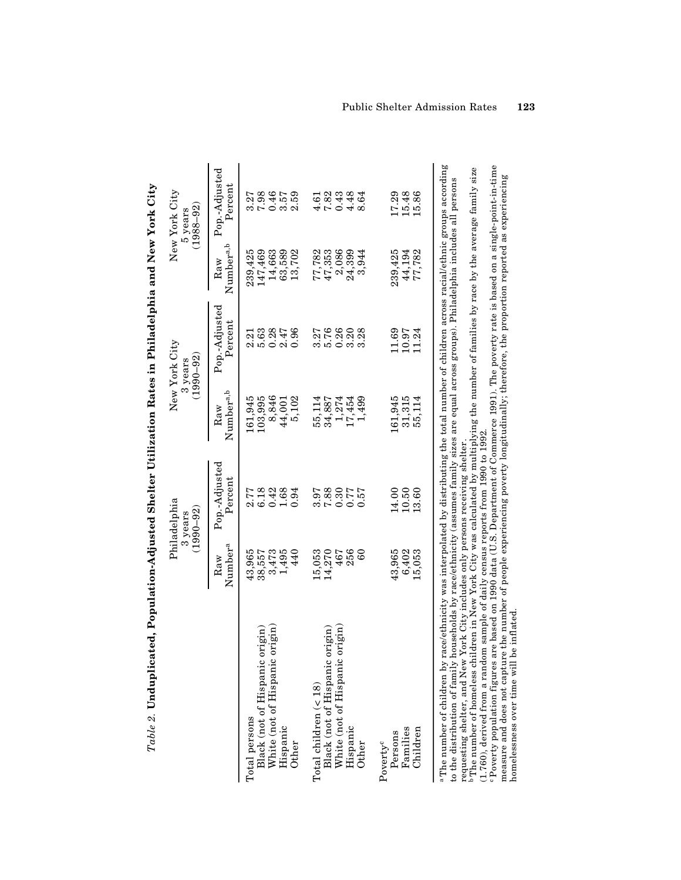| Table 2. Unduplica                                                                                                                                                                                                                                                                                                                                                                                                                                                                                                                                                                                                                                                                                                                                                                                |                                     | ted, Population-Adjusted Shelter Utilization Rates in Philadelphia and New York City                                                                                   |                    |                                           |                    |                                           |
|---------------------------------------------------------------------------------------------------------------------------------------------------------------------------------------------------------------------------------------------------------------------------------------------------------------------------------------------------------------------------------------------------------------------------------------------------------------------------------------------------------------------------------------------------------------------------------------------------------------------------------------------------------------------------------------------------------------------------------------------------------------------------------------------------|-------------------------------------|------------------------------------------------------------------------------------------------------------------------------------------------------------------------|--------------------|-------------------------------------------|--------------------|-------------------------------------------|
|                                                                                                                                                                                                                                                                                                                                                                                                                                                                                                                                                                                                                                                                                                                                                                                                   |                                     | Philadelphia<br>$(1990 - 92)$<br>3 years                                                                                                                               |                    | New York City<br>$(1990 - 92)$<br>3 years |                    | New York City<br>$(1988 - 92)$<br>5 years |
|                                                                                                                                                                                                                                                                                                                                                                                                                                                                                                                                                                                                                                                                                                                                                                                                   | $\mathrm{Number}^\mathrm{a}$<br>Raw | Pop.-Adjusted<br>Percent                                                                                                                                               | Numbera,b<br>Raw   | Pop.-Adjusted<br>Percent                  | Numbera,b<br>Raw   | Pop.-Adjusted<br>Percent                  |
| (urgin<br>Black (not of Hispanic<br>Total persons                                                                                                                                                                                                                                                                                                                                                                                                                                                                                                                                                                                                                                                                                                                                                 | 43,965<br>38,557                    | 6.18<br>2.77                                                                                                                                                           | 161,945<br>103,995 | 5.63<br>2.21                              | 147,469<br>239,425 | 7.98<br>3.27                              |
| origin<br>White (not of Hispanic<br>Hispanic                                                                                                                                                                                                                                                                                                                                                                                                                                                                                                                                                                                                                                                                                                                                                      | 3,473<br>1,495                      | $0.42$<br>$1.68$                                                                                                                                                       | 8,846<br>44,001    | 0.28<br>2.47                              | 14,663<br>63,589   | 0.46<br>3.57                              |
| Other                                                                                                                                                                                                                                                                                                                                                                                                                                                                                                                                                                                                                                                                                                                                                                                             | 440                                 | 0.94                                                                                                                                                                   | 5,102              | 0.96                                      | 13,702             | 2.59                                      |
| Total children (< 18)                                                                                                                                                                                                                                                                                                                                                                                                                                                                                                                                                                                                                                                                                                                                                                             | 15,053                              | 3.97                                                                                                                                                                   | 55,114             | $3.76$<br>$5.76$                          | 77,782             | 4.61                                      |
| (urguc<br>origin)<br>White (not of Hispanic<br>Black (not of Hispanic                                                                                                                                                                                                                                                                                                                                                                                                                                                                                                                                                                                                                                                                                                                             | 14,270<br>467                       | 7.88                                                                                                                                                                   | 1,274<br>34,887    | 0.26                                      | 47,353<br>2,086    | 7.82<br>0.43                              |
| Hispanic                                                                                                                                                                                                                                                                                                                                                                                                                                                                                                                                                                                                                                                                                                                                                                                          | 256                                 | $0.30$<br>$0.77$                                                                                                                                                       | 17,454             | 3.20                                      | 24,399             | 4.48                                      |
| Other                                                                                                                                                                                                                                                                                                                                                                                                                                                                                                                                                                                                                                                                                                                                                                                             | 60                                  | 0.57                                                                                                                                                                   | 1,499              | 3.28                                      | 3,944              | 8.64                                      |
| Persons<br>Poverty <sup>c</sup>                                                                                                                                                                                                                                                                                                                                                                                                                                                                                                                                                                                                                                                                                                                                                                   | 43,965                              | 14.00                                                                                                                                                                  | 161,945            | 11.69                                     | 239,425            | 17.29                                     |
| Families<br>Children                                                                                                                                                                                                                                                                                                                                                                                                                                                                                                                                                                                                                                                                                                                                                                              | 6,402<br>15,053                     | 10.50<br>13.60                                                                                                                                                         | 31,315<br>55,114   | 10.97<br>11.24                            | 44,194<br>77,782   | 15.48<br>15.86                            |
| Poverty population figures are based on 1990 data (U.S. Department of Commerce 1991). The poverty rate is based on a single-point-in-time<br><sup>b</sup> The number of homeless children in New York City was calculated by multiplying the number of families by race by the average family size<br>measure and does not capture the number of people experiencing poverty longitudinally; therefore, the proportion reported as experiencing<br>to the distribution of family households by race/ethnicity (assumes family sizes are equal across groups). Philadelphia includes all persons<br>$(1.760)$ , derived from a random sample of daily census reports from 1990 to 1992.<br>homelessness over time will be inflated<br>a The number of children by r<br>requesting shelter, and New |                                     | ace/ethnicity was interpolated by distributing the total number of children across racial/ethnic groups according<br>York City includes only persons receiving shelter |                    |                                           |                    |                                           |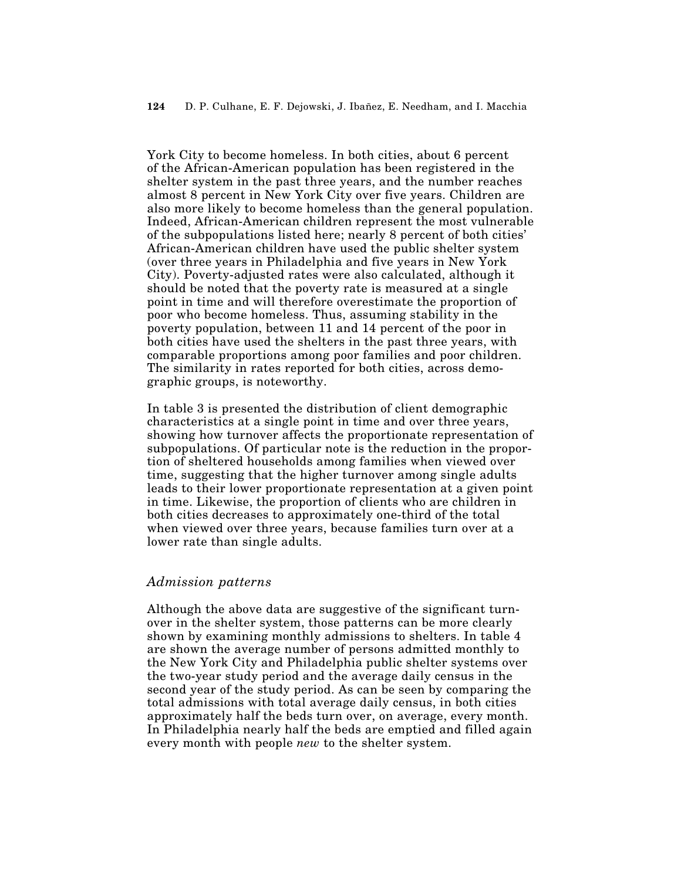#### **124** D. P. Culhane, E. F. Dejowski, J. Ibañez, E. Needham, and I. Macchia

York City to become homeless. In both cities, about 6 percent of the African-American population has been registered in the shelter system in the past three years, and the number reaches almost 8 percent in New York City over five years. Children are also more likely to become homeless than the general population. Indeed, African-American children represent the most vulnerable of the subpopulations listed here; nearly 8 percent of both cities' African-American children have used the public shelter system (over three years in Philadelphia and five years in New York City). Poverty-adjusted rates were also calculated, although it should be noted that the poverty rate is measured at a single point in time and will therefore overestimate the proportion of poor who become homeless. Thus, assuming stability in the poverty population, between 11 and 14 percent of the poor in both cities have used the shelters in the past three years, with comparable proportions among poor families and poor children. The similarity in rates reported for both cities, across demographic groups, is noteworthy.

In table 3 is presented the distribution of client demographic characteristics at a single point in time and over three years, showing how turnover affects the proportionate representation of subpopulations. Of particular note is the reduction in the proportion of sheltered households among families when viewed over time, suggesting that the higher turnover among single adults leads to their lower proportionate representation at a given point in time. Likewise, the proportion of clients who are children in both cities decreases to approximately one-third of the total when viewed over three years, because families turn over at a lower rate than single adults.

## *Admission patterns*

Although the above data are suggestive of the significant turnover in the shelter system, those patterns can be more clearly shown by examining monthly admissions to shelters. In table 4 are shown the average number of persons admitted monthly to the New York City and Philadelphia public shelter systems over the two-year study period and the average daily census in the second year of the study period. As can be seen by comparing the total admissions with total average daily census, in both cities approximately half the beds turn over, on average, every month. In Philadelphia nearly half the beds are emptied and filled again every month with people *new* to the shelter system.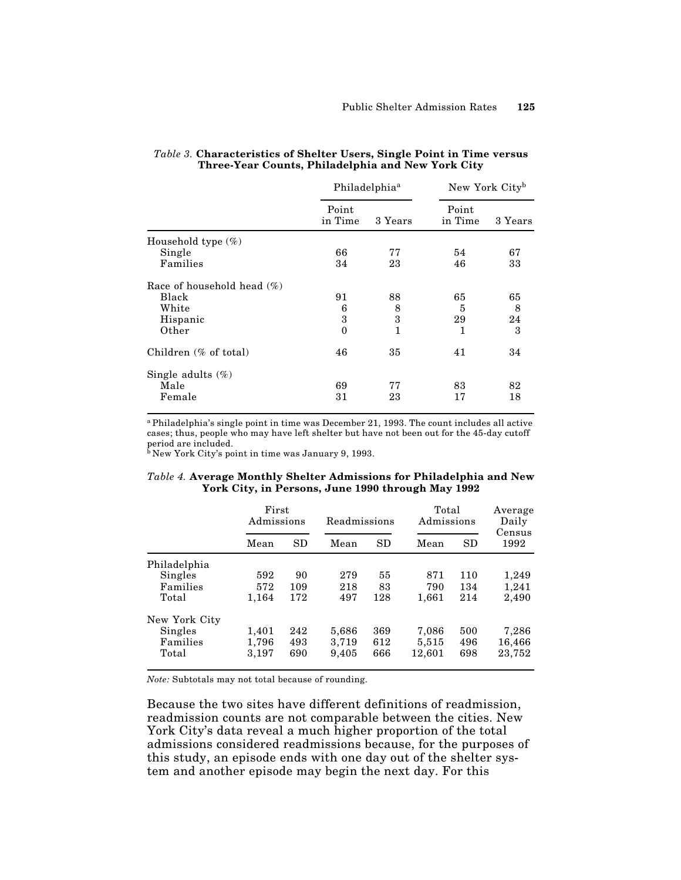|                               |                  | Philadelphia <sup>a</sup> |                  | New York Cityb |
|-------------------------------|------------------|---------------------------|------------------|----------------|
|                               | Point<br>in Time | 3 Years                   | Point<br>in Time | 3 Years        |
| Household type $(\%)$         |                  |                           |                  |                |
| Single                        | 66               | 77                        | 54               | 67             |
| Families                      | 34               | 23                        | 46               | 33             |
| Race of household head $(\%)$ |                  |                           |                  |                |
| Black                         | 91               | 88                        | 65               | 65             |
| White                         | 6                | 8                         | 5                | 8              |
| Hispanic                      | 3                | 3                         | 29               | 24             |
| Other                         | $\mathbf{0}$     | $\mathbf{1}$              | 1                | 3              |
| Children (% of total)         | 46               | 35                        | 41               | 34             |
| Single adults $(\%)$          |                  |                           |                  |                |
| Male                          | 69               | 77                        | 83               | 82             |
| Female                        | 31               | 23                        | 17               | 18             |

#### *Table 3.* **Characteristics of Shelter Users, Single Point in Time versus Three-Year Counts, Philadelphia and New York City**

<sup>a</sup> Philadelphia's single point in time was December 21, 1993. The count includes all active cases; thus, people who may have left shelter but have not been out for the 45-day cutoff period are included.

<sup>b</sup> New York City's point in time was January 9, 1993.

#### *Table 4.* **Average Monthly Shelter Admissions for Philadelphia and New York City, in Persons, June 1990 through May 1992**

|               | First<br>Admissions |           |       | Readmissions |        | Total<br>Admissions |                |
|---------------|---------------------|-----------|-------|--------------|--------|---------------------|----------------|
|               | Mean                | <b>SD</b> | Mean  | SD           | Mean   | SD                  | Census<br>1992 |
| Philadelphia  |                     |           |       |              |        |                     |                |
| Singles       | 592                 | 90        | 279   | 55           | 871    | 110                 | 1,249          |
| Families      | 572                 | 109       | 218   | 83           | 790    | 134                 | 1,241          |
| Total         | 1,164               | 172       | 497   | 128          | 1,661  | 214                 | 2,490          |
| New York City |                     |           |       |              |        |                     |                |
| Singles       | 1,401               | 242       | 5,686 | 369          | 7,086  | 500                 | 7,286          |
| Families      | 1,796               | 493       | 3,719 | 612          | 5,515  | 496                 | 16,466         |
| Total         | 3,197               | 690       | 9,405 | 666          | 12,601 | 698                 | 23,752         |

*Note:* Subtotals may not total because of rounding.

Because the two sites have different definitions of readmission, readmission counts are not comparable between the cities. New York City's data reveal a much higher proportion of the total admissions considered readmissions because, for the purposes of this study, an episode ends with one day out of the shelter system and another episode may begin the next day. For this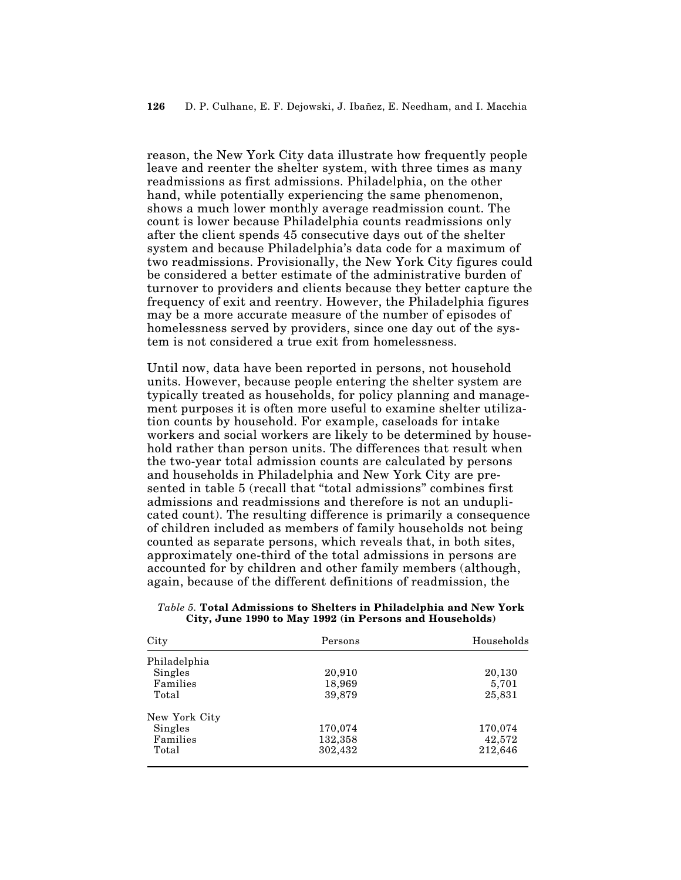reason, the New York City data illustrate how frequently people leave and reenter the shelter system, with three times as many readmissions as first admissions. Philadelphia, on the other hand, while potentially experiencing the same phenomenon, shows a much lower monthly average readmission count. The count is lower because Philadelphia counts readmissions only after the client spends 45 consecutive days out of the shelter system and because Philadelphia's data code for a maximum of two readmissions. Provisionally, the New York City figures could be considered a better estimate of the administrative burden of turnover to providers and clients because they better capture the frequency of exit and reentry. However, the Philadelphia figures may be a more accurate measure of the number of episodes of homelessness served by providers, since one day out of the system is not considered a true exit from homelessness.

Until now, data have been reported in persons, not household units. However, because people entering the shelter system are typically treated as households, for policy planning and management purposes it is often more useful to examine shelter utilization counts by household. For example, caseloads for intake workers and social workers are likely to be determined by household rather than person units. The differences that result when the two-year total admission counts are calculated by persons and households in Philadelphia and New York City are presented in table 5 (recall that "total admissions" combines first admissions and readmissions and therefore is not an unduplicated count). The resulting difference is primarily a consequence of children included as members of family households not being counted as separate persons, which reveals that, in both sites, approximately one-third of the total admissions in persons are accounted for by children and other family members (although, again, because of the different definitions of readmission, the

| Households |  |
|------------|--|
|            |  |
| 20,130     |  |
| 5,701      |  |
| 25,831     |  |
|            |  |
| 170,074    |  |
| 42,572     |  |
| 212,646    |  |
|            |  |

*Table 5.* **Total Admissions to Shelters in Philadelphia and New York City, June 1990 to May 1992 (in Persons and Households)**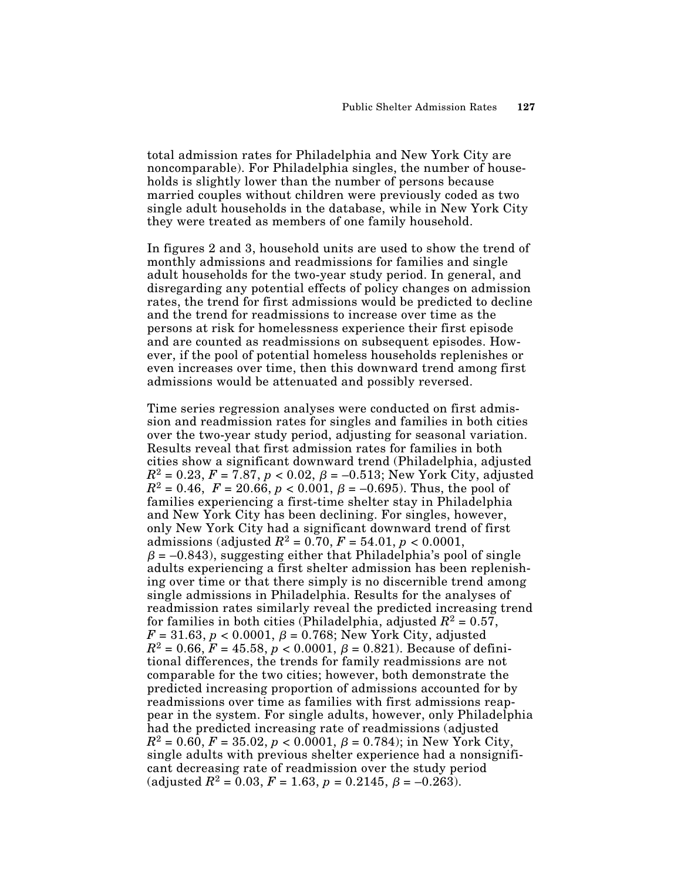total admission rates for Philadelphia and New York City are noncomparable). For Philadelphia singles, the number of households is slightly lower than the number of persons because married couples without children were previously coded as two single adult households in the database, while in New York City they were treated as members of one family household.

In figures 2 and 3, household units are used to show the trend of monthly admissions and readmissions for families and single adult households for the two-year study period. In general, and disregarding any potential effects of policy changes on admission rates, the trend for first admissions would be predicted to decline and the trend for readmissions to increase over time as the persons at risk for homelessness experience their first episode and are counted as readmissions on subsequent episodes. However, if the pool of potential homeless households replenishes or even increases over time, then this downward trend among first admissions would be attenuated and possibly reversed.

Time series regression analyses were conducted on first admission and readmission rates for singles and families in both cities over the two-year study period, adjusting for seasonal variation. Results reveal that first admission rates for families in both cities show a significant downward trend (Philadelphia, adjusted  $R^2$  = 0.23, *F* = 7.87, *p* < 0.02,  $\beta$  = –0.513; New York City, adjusted  $R^2 = 0.46$ ,  $F = 20.66$ ,  $p < 0.001$ ,  $\beta = -0.695$ ). Thus, the pool of families experiencing a first-time shelter stay in Philadelphia and New York City has been declining. For singles, however, only New York City had a significant downward trend of first admissions (adjusted  $R^2 = 0.70$ ,  $F = 54.01$ ,  $p < 0.0001$ ,  $\beta$  = -0.843), suggesting either that Philadelphia's pool of single adults experiencing a first shelter admission has been replenishing over time or that there simply is no discernible trend among single admissions in Philadelphia. Results for the analyses of readmission rates similarly reveal the predicted increasing trend for families in both cities (Philadelphia, adjusted  $R^2 = 0.57$ ,  $F = 31.63, p < 0.0001, \beta = 0.768; \, {\rm New \, York} \, {\rm City, \, adjusted}$  $R^2$  = 0.66,  $F$  = 45.58,  $p < 0.0001$ ,  $\beta$  = 0.821). Because of definitional differences, the trends for family readmissions are not comparable for the two cities; however, both demonstrate the predicted increasing proportion of admissions accounted for by readmissions over time as families with first admissions reappear in the system. For single adults, however, only Philadelphia had the predicted increasing rate of readmissions (adjusted  $R^2$  = 0.60,  $F$  = 35.02,  $p < 0.0001, \, \beta$  = 0.784); in New York City, single adults with previous shelter experience had a nonsignificant decreasing rate of readmission over the study period (adjusted  $R^2 = 0.03$ ,  $F = 1.63$ ,  $p = 0.2145$ ,  $\beta = -0.263$ ).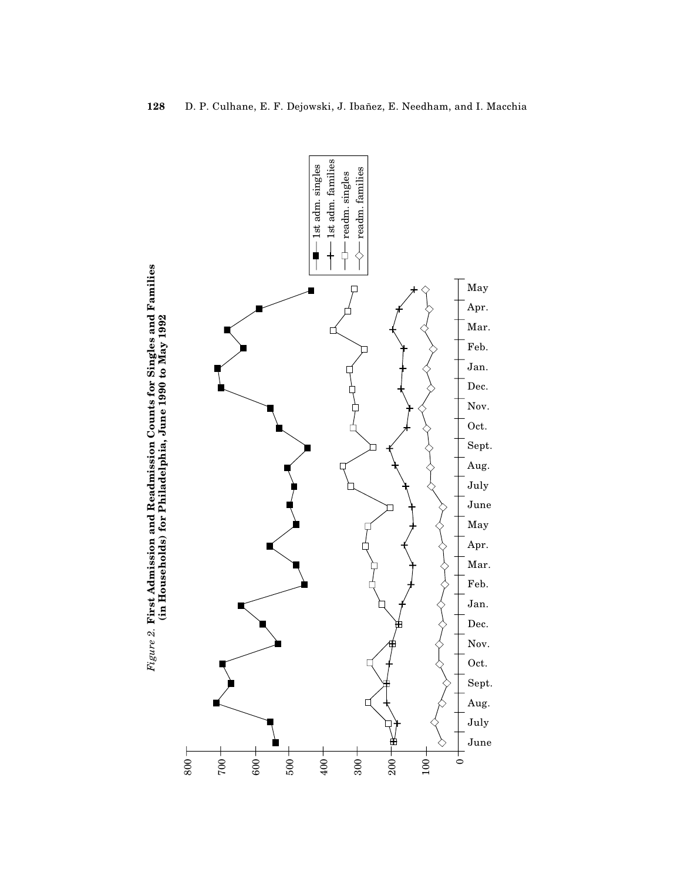

 $Figure 2.$  First Admission and Readmission Counts for Singles and Families (in Households) for Philadelphia, June 1990 to May 1992 *Figure 2.* **First Admission and Readmission Counts for Singles and Families**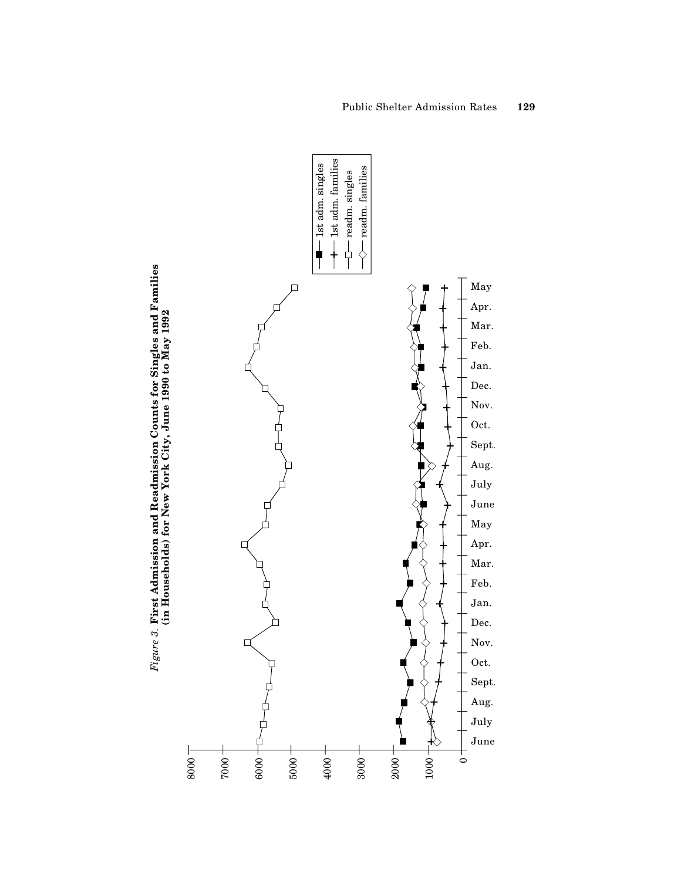



8000

7000

600 +0-0-0

 $\Box$ 

 $\Box$ 

5000

È

4000

3000

2000

 $1000 +$ 

₭

 $\circ$ 

JUNE JuneJuly Aug. SEPT Sept. OCT Oct. NOV Nov. Dec. JAN Jan. FEB Feb. Mar. APR Apr. MAY May JUNE June July AUG Aug. SEPT Sept.  $Oct.$ NOV Nov.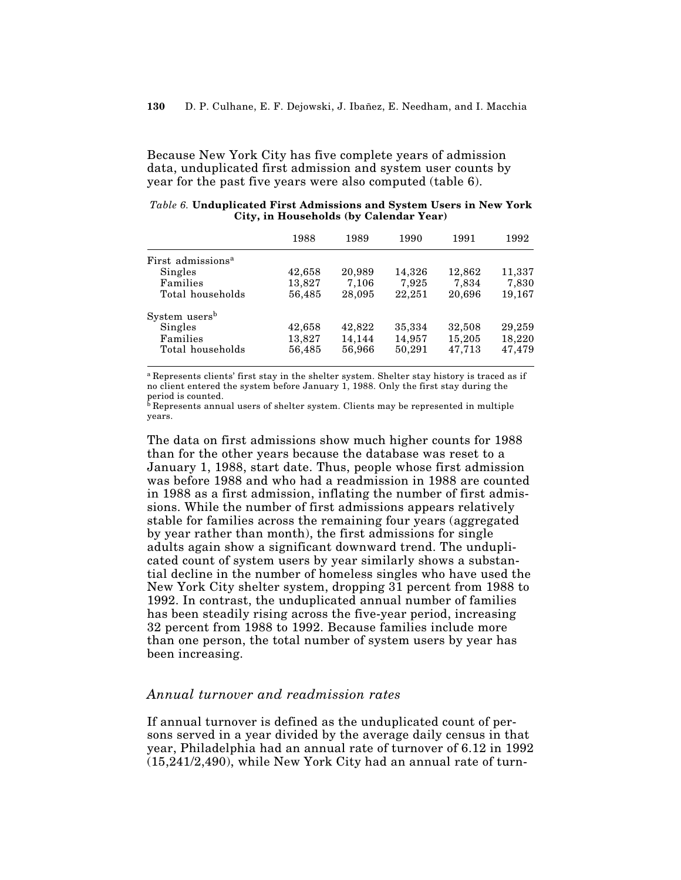Because New York City has five complete years of admission data, unduplicated first admission and system user counts by year for the past five years were also computed (table 6).

| Table 6. Unduplicated First Admissions and System Users in New York |                                        |  |  |  |
|---------------------------------------------------------------------|----------------------------------------|--|--|--|
|                                                                     | City, in Households (by Calendar Year) |  |  |  |

|                               | 1988   | 1989   | 1990   | 1991   | 1992   |
|-------------------------------|--------|--------|--------|--------|--------|
| First admissions <sup>a</sup> |        |        |        |        |        |
| Singles                       | 42,658 | 20,989 | 14,326 | 12,862 | 11,337 |
| Families                      | 13,827 | 7,106  | 7,925  | 7,834  | 7,830  |
| Total households              | 56,485 | 28,095 | 22,251 | 20.696 | 19,167 |
| System users <sup>b</sup>     |        |        |        |        |        |
| Singles                       | 42,658 | 42,822 | 35,334 | 32,508 | 29,259 |
| Families                      | 13,827 | 14,144 | 14,957 | 15,205 | 18,220 |
| Total households              | 56,485 | 56,966 | 50,291 | 47,713 | 47,479 |

<sup>a</sup> Represents clients' first stay in the shelter system. Shelter stay history is traced as if no client entered the system before January 1, 1988. Only the first stay during the period is counted.

 $^{\rm b}$  Represents annual users of shelter system. Clients may be represented in multiple years.

The data on first admissions show much higher counts for 1988 than for the other years because the database was reset to a January 1, 1988, start date. Thus, people whose first admission was before 1988 and who had a readmission in 1988 are counted in 1988 as a first admission, inflating the number of first admissions. While the number of first admissions appears relatively stable for families across the remaining four years (aggregated by year rather than month), the first admissions for single adults again show a significant downward trend. The unduplicated count of system users by year similarly shows a substantial decline in the number of homeless singles who have used the New York City shelter system, dropping 31 percent from 1988 to 1992. In contrast, the unduplicated annual number of families has been steadily rising across the five-year period, increasing 32 percent from 1988 to 1992. Because families include more than one person, the total number of system users by year has been increasing.

## *Annual turnover and readmission rates*

If annual turnover is defined as the unduplicated count of persons served in a year divided by the average daily census in that year, Philadelphia had an annual rate of turnover of 6.12 in 1992 (15,241/2,490), while New York City had an annual rate of turn-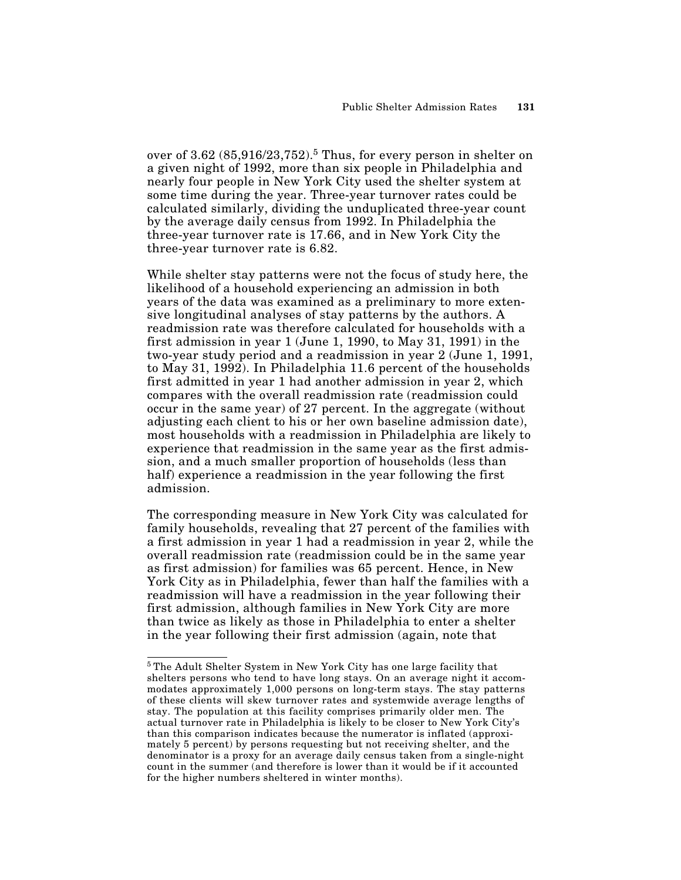over of  $3.62$   $(85,916/23,752)$ <sup>5</sup> Thus, for every person in shelter on a given night of 1992, more than six people in Philadelphia and nearly four people in New York City used the shelter system at some time during the year. Three-year turnover rates could be calculated similarly, dividing the unduplicated three-year count by the average daily census from 1992. In Philadelphia the three-year turnover rate is 17.66, and in New York City the three-year turnover rate is 6.82.

While shelter stay patterns were not the focus of study here, the likelihood of a household experiencing an admission in both years of the data was examined as a preliminary to more extensive longitudinal analyses of stay patterns by the authors. A readmission rate was therefore calculated for households with a first admission in year 1 (June 1, 1990, to May 31, 1991) in the two-year study period and a readmission in year 2 (June 1, 1991, to May 31, 1992). In Philadelphia 11.6 percent of the households first admitted in year 1 had another admission in year 2, which compares with the overall readmission rate (readmission could occur in the same year) of 27 percent. In the aggregate (without adjusting each client to his or her own baseline admission date), most households with a readmission in Philadelphia are likely to experience that readmission in the same year as the first admission, and a much smaller proportion of households (less than half) experience a readmission in the year following the first admission.

The corresponding measure in New York City was calculated for family households, revealing that 27 percent of the families with a first admission in year 1 had a readmission in year 2, while the overall readmission rate (readmission could be in the same year as first admission) for families was 65 percent. Hence, in New York City as in Philadelphia, fewer than half the families with a readmission will have a readmission in the year following their first admission, although families in New York City are more than twice as likely as those in Philadelphia to enter a shelter in the year following their first admission (again, note that

<sup>5</sup> The Adult Shelter System in New York City has one large facility that shelters persons who tend to have long stays. On an average night it accommodates approximately 1,000 persons on long-term stays. The stay patterns of these clients will skew turnover rates and systemwide average lengths of stay. The population at this facility comprises primarily older men. The actual turnover rate in Philadelphia is likely to be closer to New York City's than this comparison indicates because the numerator is inflated (approximately 5 percent) by persons requesting but not receiving shelter, and the denominator is a proxy for an average daily census taken from a single-night count in the summer (and therefore is lower than it would be if it accounted for the higher numbers sheltered in winter months).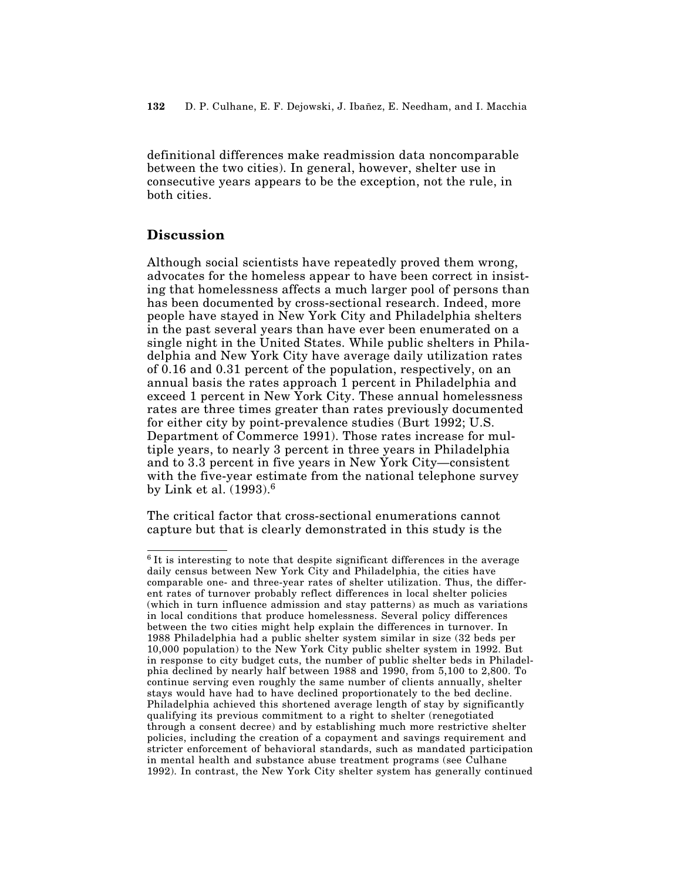definitional differences make readmission data noncomparable between the two cities). In general, however, shelter use in consecutive years appears to be the exception, not the rule, in both cities.

## **Discussion**

Although social scientists have repeatedly proved them wrong, advocates for the homeless appear to have been correct in insisting that homelessness affects a much larger pool of persons than has been documented by cross-sectional research. Indeed, more people have stayed in New York City and Philadelphia shelters in the past several years than have ever been enumerated on a single night in the United States. While public shelters in Philadelphia and New York City have average daily utilization rates of 0.16 and 0.31 percent of the population, respectively, on an annual basis the rates approach 1 percent in Philadelphia and exceed 1 percent in New York City. These annual homelessness rates are three times greater than rates previously documented for either city by point-prevalence studies (Burt 1992; U.S. Department of Commerce 1991). Those rates increase for multiple years, to nearly 3 percent in three years in Philadelphia and to 3.3 percent in five years in New York City—consistent with the five-year estimate from the national telephone survey by Link et al. (1993).6

The critical factor that cross-sectional enumerations cannot capture but that is clearly demonstrated in this study is the

<sup>6</sup> It is interesting to note that despite significant differences in the average daily census between New York City and Philadelphia, the cities have comparable one- and three-year rates of shelter utilization. Thus, the different rates of turnover probably reflect differences in local shelter policies (which in turn influence admission and stay patterns) as much as variations in local conditions that produce homelessness. Several policy differences between the two cities might help explain the differences in turnover. In 1988 Philadelphia had a public shelter system similar in size (32 beds per 10,000 population) to the New York City public shelter system in 1992. But in response to city budget cuts, the number of public shelter beds in Philadelphia declined by nearly half between 1988 and 1990, from 5,100 to 2,800. To continue serving even roughly the same number of clients annually, shelter stays would have had to have declined proportionately to the bed decline. Philadelphia achieved this shortened average length of stay by significantly qualifying its previous commitment to a right to shelter (renegotiated through a consent decree) and by establishing much more restrictive shelter policies, including the creation of a copayment and savings requirement and stricter enforcement of behavioral standards, such as mandated participation in mental health and substance abuse treatment programs (see Culhane 1992). In contrast, the New York City shelter system has generally continued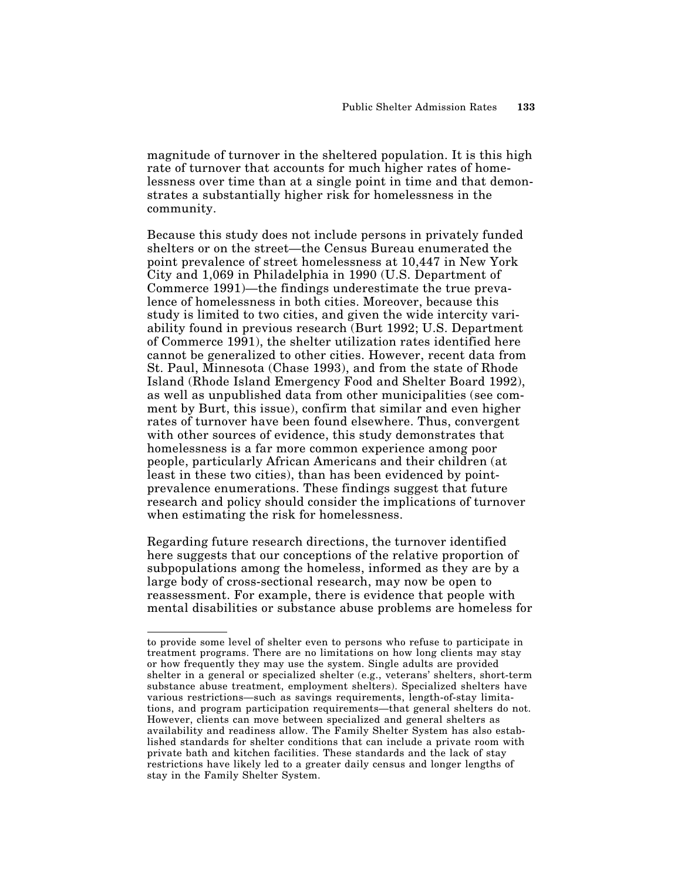magnitude of turnover in the sheltered population. It is this high rate of turnover that accounts for much higher rates of homelessness over time than at a single point in time and that demonstrates a substantially higher risk for homelessness in the community.

Because this study does not include persons in privately funded shelters or on the street—the Census Bureau enumerated the point prevalence of street homelessness at 10,447 in New York City and 1,069 in Philadelphia in 1990 (U.S. Department of Commerce 1991)—the findings underestimate the true prevalence of homelessness in both cities. Moreover, because this study is limited to two cities, and given the wide intercity variability found in previous research (Burt 1992; U.S. Department of Commerce 1991), the shelter utilization rates identified here cannot be generalized to other cities. However, recent data from St. Paul, Minnesota (Chase 1993), and from the state of Rhode Island (Rhode Island Emergency Food and Shelter Board 1992), as well as unpublished data from other municipalities (see comment by Burt, this issue), confirm that similar and even higher rates of turnover have been found elsewhere. Thus, convergent with other sources of evidence, this study demonstrates that homelessness is a far more common experience among poor people, particularly African Americans and their children (at least in these two cities), than has been evidenced by pointprevalence enumerations. These findings suggest that future research and policy should consider the implications of turnover when estimating the risk for homelessness.

Regarding future research directions, the turnover identified here suggests that our conceptions of the relative proportion of subpopulations among the homeless, informed as they are by a large body of cross-sectional research, may now be open to reassessment. For example, there is evidence that people with mental disabilities or substance abuse problems are homeless for

to provide some level of shelter even to persons who refuse to participate in treatment programs. There are no limitations on how long clients may stay or how frequently they may use the system. Single adults are provided shelter in a general or specialized shelter (e.g., veterans' shelters, short-term substance abuse treatment, employment shelters). Specialized shelters have various restrictions—such as savings requirements, length-of-stay limitations, and program participation requirements—that general shelters do not. However, clients can move between specialized and general shelters as availability and readiness allow. The Family Shelter System has also established standards for shelter conditions that can include a private room with private bath and kitchen facilities. These standards and the lack of stay restrictions have likely led to a greater daily census and longer lengths of stay in the Family Shelter System.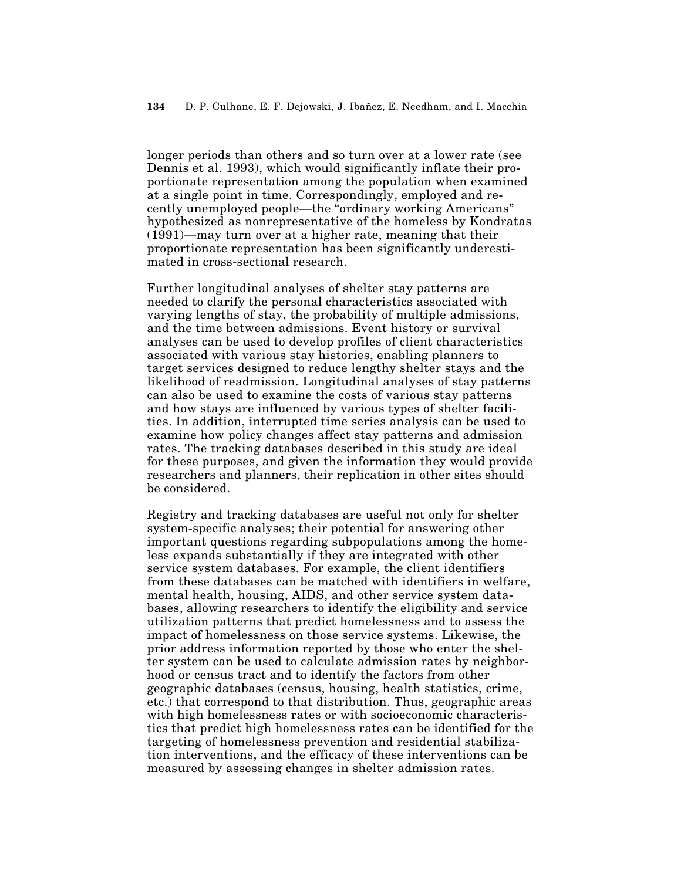longer periods than others and so turn over at a lower rate (see Dennis et al. 1993), which would significantly inflate their proportionate representation among the population when examined at a single point in time. Correspondingly, employed and recently unemployed people—the "ordinary working Americans" hypothesized as nonrepresentative of the homeless by Kondratas (1991)—may turn over at a higher rate, meaning that their proportionate representation has been significantly underestimated in cross-sectional research.

Further longitudinal analyses of shelter stay patterns are needed to clarify the personal characteristics associated with varying lengths of stay, the probability of multiple admissions, and the time between admissions. Event history or survival analyses can be used to develop profiles of client characteristics associated with various stay histories, enabling planners to target services designed to reduce lengthy shelter stays and the likelihood of readmission. Longitudinal analyses of stay patterns can also be used to examine the costs of various stay patterns and how stays are influenced by various types of shelter facilities. In addition, interrupted time series analysis can be used to examine how policy changes affect stay patterns and admission rates. The tracking databases described in this study are ideal for these purposes, and given the information they would provide researchers and planners, their replication in other sites should be considered.

Registry and tracking databases are useful not only for shelter system-specific analyses; their potential for answering other important questions regarding subpopulations among the homeless expands substantially if they are integrated with other service system databases. For example, the client identifiers from these databases can be matched with identifiers in welfare, mental health, housing, AIDS, and other service system databases, allowing researchers to identify the eligibility and service utilization patterns that predict homelessness and to assess the impact of homelessness on those service systems. Likewise, the prior address information reported by those who enter the shelter system can be used to calculate admission rates by neighborhood or census tract and to identify the factors from other geographic databases (census, housing, health statistics, crime, etc.) that correspond to that distribution. Thus, geographic areas with high homelessness rates or with socioeconomic characteristics that predict high homelessness rates can be identified for the targeting of homelessness prevention and residential stabilization interventions, and the efficacy of these interventions can be measured by assessing changes in shelter admission rates.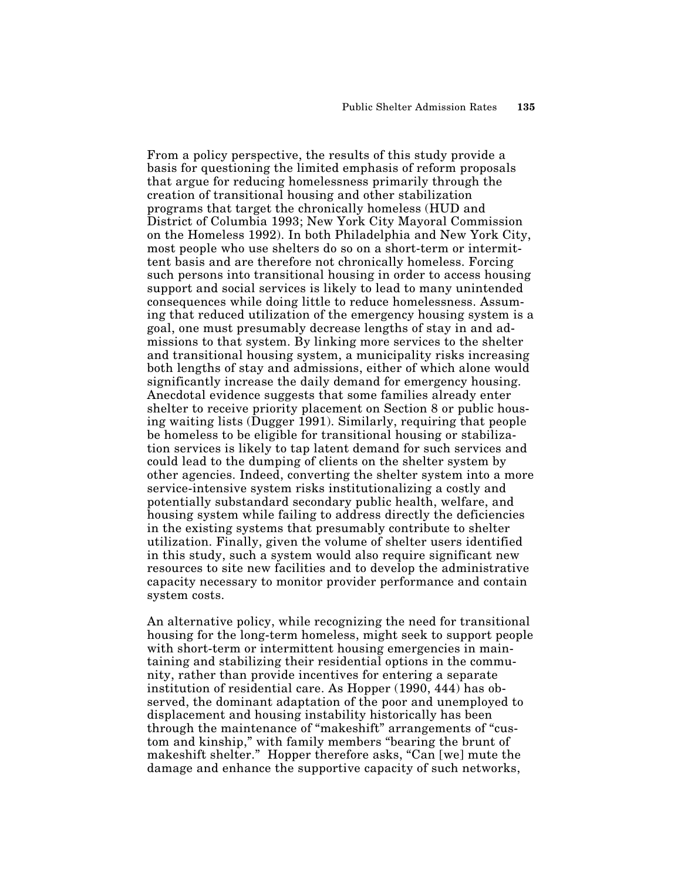From a policy perspective, the results of this study provide a basis for questioning the limited emphasis of reform proposals that argue for reducing homelessness primarily through the creation of transitional housing and other stabilization programs that target the chronically homeless (HUD and District of Columbia 1993; New York City Mayoral Commission on the Homeless 1992). In both Philadelphia and New York City, most people who use shelters do so on a short-term or intermittent basis and are therefore not chronically homeless. Forcing such persons into transitional housing in order to access housing support and social services is likely to lead to many unintended consequences while doing little to reduce homelessness. Assuming that reduced utilization of the emergency housing system is a goal, one must presumably decrease lengths of stay in and admissions to that system. By linking more services to the shelter and transitional housing system, a municipality risks increasing both lengths of stay and admissions, either of which alone would significantly increase the daily demand for emergency housing. Anecdotal evidence suggests that some families already enter shelter to receive priority placement on Section 8 or public housing waiting lists (Dugger 1991). Similarly, requiring that people be homeless to be eligible for transitional housing or stabilization services is likely to tap latent demand for such services and could lead to the dumping of clients on the shelter system by other agencies. Indeed, converting the shelter system into a more service-intensive system risks institutionalizing a costly and potentially substandard secondary public health, welfare, and housing system while failing to address directly the deficiencies in the existing systems that presumably contribute to shelter utilization. Finally, given the volume of shelter users identified in this study, such a system would also require significant new resources to site new facilities and to develop the administrative capacity necessary to monitor provider performance and contain system costs.

An alternative policy, while recognizing the need for transitional housing for the long-term homeless, might seek to support people with short-term or intermittent housing emergencies in maintaining and stabilizing their residential options in the community, rather than provide incentives for entering a separate institution of residential care. As Hopper (1990, 444) has observed, the dominant adaptation of the poor and unemployed to displacement and housing instability historically has been through the maintenance of "makeshift" arrangements of "custom and kinship," with family members "bearing the brunt of makeshift shelter." Hopper therefore asks, "Can [we] mute the damage and enhance the supportive capacity of such networks,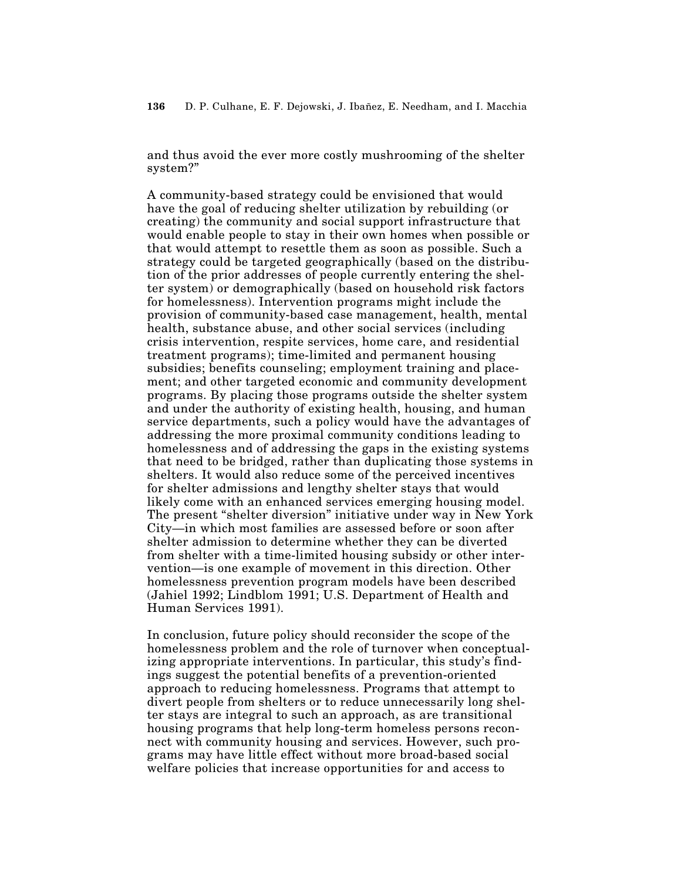and thus avoid the ever more costly mushrooming of the shelter system?"

A community-based strategy could be envisioned that would have the goal of reducing shelter utilization by rebuilding (or creating) the community and social support infrastructure that would enable people to stay in their own homes when possible or that would attempt to resettle them as soon as possible. Such a strategy could be targeted geographically (based on the distribution of the prior addresses of people currently entering the shelter system) or demographically (based on household risk factors for homelessness). Intervention programs might include the provision of community-based case management, health, mental health, substance abuse, and other social services (including crisis intervention, respite services, home care, and residential treatment programs); time-limited and permanent housing subsidies; benefits counseling; employment training and placement; and other targeted economic and community development programs. By placing those programs outside the shelter system and under the authority of existing health, housing, and human service departments, such a policy would have the advantages of addressing the more proximal community conditions leading to homelessness and of addressing the gaps in the existing systems that need to be bridged, rather than duplicating those systems in shelters. It would also reduce some of the perceived incentives for shelter admissions and lengthy shelter stays that would likely come with an enhanced services emerging housing model. The present "shelter diversion" initiative under way in New York City—in which most families are assessed before or soon after shelter admission to determine whether they can be diverted from shelter with a time-limited housing subsidy or other intervention—is one example of movement in this direction. Other homelessness prevention program models have been described (Jahiel 1992; Lindblom 1991; U.S. Department of Health and Human Services 1991).

In conclusion, future policy should reconsider the scope of the homelessness problem and the role of turnover when conceptualizing appropriate interventions. In particular, this study's findings suggest the potential benefits of a prevention-oriented approach to reducing homelessness. Programs that attempt to divert people from shelters or to reduce unnecessarily long shelter stays are integral to such an approach, as are transitional housing programs that help long-term homeless persons reconnect with community housing and services. However, such programs may have little effect without more broad-based social welfare policies that increase opportunities for and access to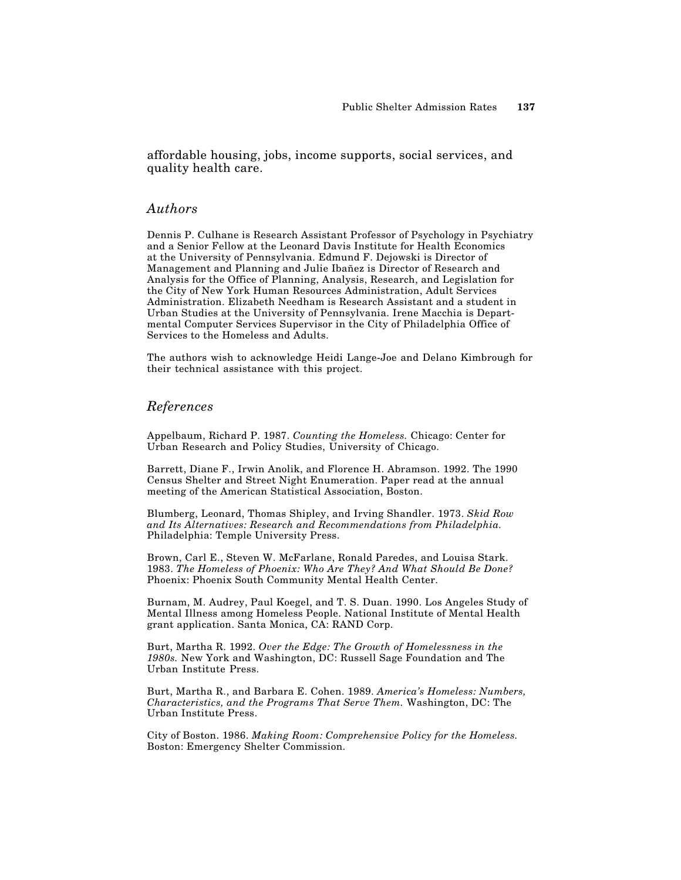affordable housing, jobs, income supports, social services, and quality health care.

## *Authors*

Dennis P. Culhane is Research Assistant Professor of Psychology in Psychiatry and a Senior Fellow at the Leonard Davis Institute for Health Economics at the University of Pennsylvania. Edmund F. Dejowski is Director of Management and Planning and Julie Ibañez is Director of Research and Analysis for the Office of Planning, Analysis, Research, and Legislation for the City of New York Human Resources Administration, Adult Services Administration. Elizabeth Needham is Research Assistant and a student in Urban Studies at the University of Pennsylvania. Irene Macchia is Departmental Computer Services Supervisor in the City of Philadelphia Office of Services to the Homeless and Adults.

The authors wish to acknowledge Heidi Lange-Joe and Delano Kimbrough for their technical assistance with this project.

## *References*

Appelbaum, Richard P. 1987. *Counting the Homeless.* Chicago: Center for Urban Research and Policy Studies, University of Chicago.

Barrett, Diane F., Irwin Anolik, and Florence H. Abramson. 1992. The 1990 Census Shelter and Street Night Enumeration. Paper read at the annual meeting of the American Statistical Association, Boston.

Blumberg, Leonard, Thomas Shipley, and Irving Shandler. 1973. *Skid Row and Its Alternatives: Research and Recommendations from Philadelphia.* Philadelphia: Temple University Press.

Brown, Carl E., Steven W. McFarlane, Ronald Paredes, and Louisa Stark. 1983. *The Homeless of Phoenix: Who Are They? And What Should Be Done?* Phoenix: Phoenix South Community Mental Health Center.

Burnam, M. Audrey, Paul Koegel, and T. S. Duan. 1990. Los Angeles Study of Mental Illness among Homeless People. National Institute of Mental Health grant application. Santa Monica, CA: RAND Corp.

Burt, Martha R. 1992. *Over the Edge: The Growth of Homelessness in the 1980s.* New York and Washington, DC: Russell Sage Foundation and The Urban Institute Press.

Burt, Martha R., and Barbara E. Cohen. 1989. *America's Homeless: Numbers, Characteristics, and the Programs That Serve Them.* Washington, DC: The Urban Institute Press.

City of Boston. 1986. *Making Room: Comprehensive Policy for the Homeless.* Boston: Emergency Shelter Commission.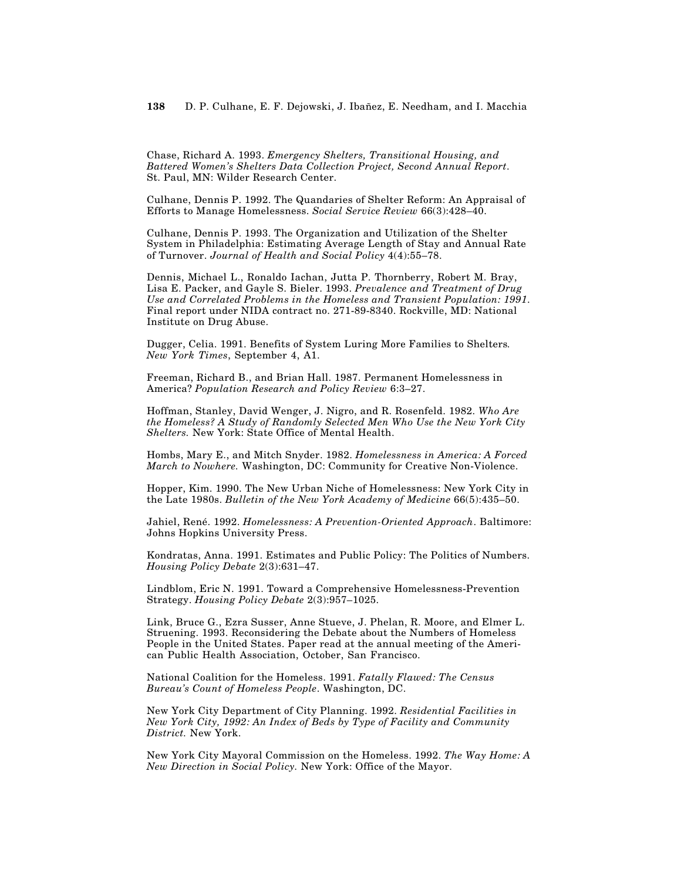Chase, Richard A. 1993. *Emergency Shelters, Transitional Housing, and Battered Women's Shelters Data Collection Project, Second Annual Report*. St. Paul, MN: Wilder Research Center.

Culhane, Dennis P. 1992. The Quandaries of Shelter Reform: An Appraisal of Efforts to Manage Homelessness. *Social Service Review* 66(3):428–40.

Culhane, Dennis P. 1993. The Organization and Utilization of the Shelter System in Philadelphia: Estimating Average Length of Stay and Annual Rate of Turnover. *Journal of Health and Social Policy* 4(4):55–78.

Dennis, Michael L., Ronaldo Iachan, Jutta P. Thornberry, Robert M. Bray, Lisa E. Packer, and Gayle S. Bieler. 1993. *Prevalence and Treatment of Drug Use and Correlated Problems in the Homeless and Transient Population: 1991*. Final report under NIDA contract no. 271-89-8340. Rockville, MD: National Institute on Drug Abuse.

Dugger, Celia. 1991. Benefits of System Luring More Families to Shelters*. New York Times*, September 4, A1.

Freeman, Richard B., and Brian Hall. 1987. Permanent Homelessness in America? *Population Research and Policy Review* 6:3–27.

Hoffman, Stanley, David Wenger, J. Nigro, and R. Rosenfeld. 1982. *Who Are the Homeless? A Study of Randomly Selected Men Who Use the New York City Shelters.* New York: State Office of Mental Health.

Hombs, Mary E., and Mitch Snyder. 1982. *Homelessness in America: A Forced March to Nowhere.* Washington, DC: Community for Creative Non-Violence.

Hopper, Kim. 1990. The New Urban Niche of Homelessness: New York City in the Late 1980s. *Bulletin of the New York Academy of Medicine* 66(5):435–50.

Jahiel, René. 1992. *Homelessness: A Prevention-Oriented Approach*. Baltimore: Johns Hopkins University Press.

Kondratas, Anna. 1991. Estimates and Public Policy: The Politics of Numbers. *Housing Policy Debate* 2(3):631–47.

Lindblom, Eric N. 1991. Toward a Comprehensive Homelessness-Prevention Strategy. *Housing Policy Debate* 2(3):957–1025.

Link, Bruce G., Ezra Susser, Anne Stueve, J. Phelan, R. Moore, and Elmer L. Struening. 1993. Reconsidering the Debate about the Numbers of Homeless People in the United States. Paper read at the annual meeting of the American Public Health Association, October, San Francisco.

National Coalition for the Homeless. 1991. *Fatally Flawed: The Census Bureau's Count of Homeless People*. Washington, DC.

New York City Department of City Planning. 1992. *Residential Facilities in New York City, 1992: An Index of Beds by Type of Facility and Community District.* New York.

New York City Mayoral Commission on the Homeless. 1992. *The Way Home: A New Direction in Social Policy.* New York: Office of the Mayor.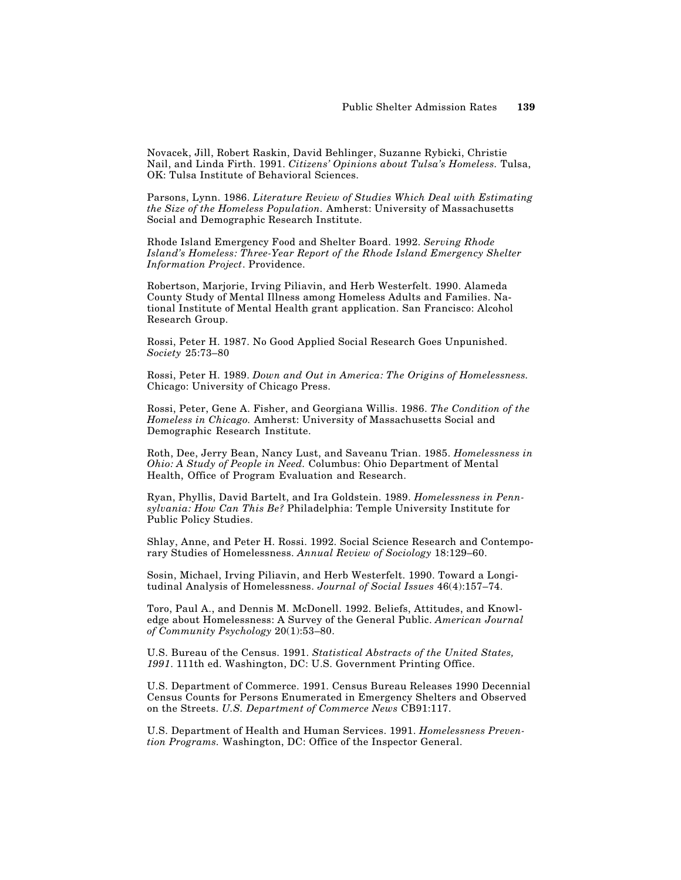Novacek, Jill, Robert Raskin, David Behlinger, Suzanne Rybicki, Christie Nail, and Linda Firth. 1991. *Citizens' Opinions about Tulsa's Homeless.* Tulsa, OK: Tulsa Institute of Behavioral Sciences.

Parsons, Lynn. 1986. *Literature Review of Studies Which Deal with Estimating the Size of the Homeless Population.* Amherst: University of Massachusetts Social and Demographic Research Institute.

Rhode Island Emergency Food and Shelter Board. 1992. *Serving Rhode Island's Homeless: Three-Year Report of the Rhode Island Emergency Shelter Information Project*. Providence.

Robertson, Marjorie, Irving Piliavin, and Herb Westerfelt. 1990. Alameda County Study of Mental Illness among Homeless Adults and Families. National Institute of Mental Health grant application. San Francisco: Alcohol Research Group.

Rossi, Peter H. 1987. No Good Applied Social Research Goes Unpunished. *Society* 25:73–80

Rossi, Peter H. 1989. *Down and Out in America: The Origins of Homelessness.* Chicago: University of Chicago Press.

Rossi, Peter, Gene A. Fisher, and Georgiana Willis. 1986. *The Condition of the Homeless in Chicago.* Amherst: University of Massachusetts Social and Demographic Research Institute.

Roth, Dee, Jerry Bean, Nancy Lust, and Saveanu Trian. 1985. *Homelessness in Ohio: A Study of People in Need.* Columbus: Ohio Department of Mental Health, Office of Program Evaluation and Research.

Ryan, Phyllis, David Bartelt, and Ira Goldstein. 1989. *Homelessness in Pennsylvania: How Can This Be?* Philadelphia: Temple University Institute for Public Policy Studies.

Shlay, Anne, and Peter H. Rossi. 1992. Social Science Research and Contemporary Studies of Homelessness. *Annual Review of Sociology* 18:129–60.

Sosin, Michael, Irving Piliavin, and Herb Westerfelt. 1990. Toward a Longitudinal Analysis of Homelessness. *Journal of Social Issues* 46(4):157–74.

Toro, Paul A., and Dennis M. McDonell. 1992. Beliefs, Attitudes, and Knowledge about Homelessness: A Survey of the General Public. *American Journal of Community Psychology* 20(1):53–80.

U.S. Bureau of the Census. 1991. *Statistical Abstracts of the United States, 1991*. 111th ed. Washington, DC: U.S. Government Printing Office.

U.S. Department of Commerce. 1991. Census Bureau Releases 1990 Decennial Census Counts for Persons Enumerated in Emergency Shelters and Observed on the Streets. *U.S. Department of Commerce News* CB91:117.

U.S. Department of Health and Human Services. 1991. *Homelessness Prevention Programs.* Washington, DC: Office of the Inspector General.